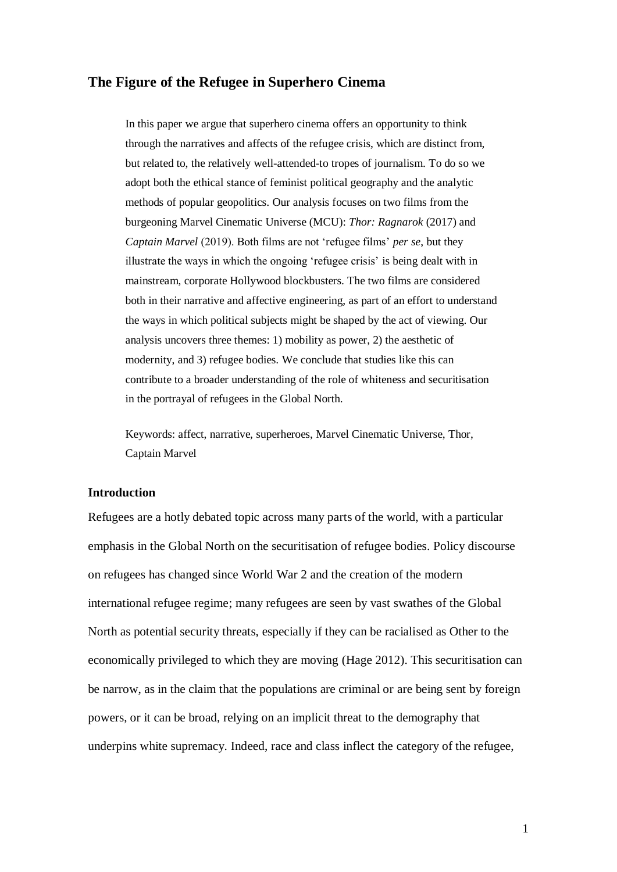# **The Figure of the Refugee in Superhero Cinema**

In this paper we argue that superhero cinema offers an opportunity to think through the narratives and affects of the refugee crisis, which are distinct from, but related to, the relatively well-attended-to tropes of journalism. To do so we adopt both the ethical stance of feminist political geography and the analytic methods of popular geopolitics. Our analysis focuses on two films from the burgeoning Marvel Cinematic Universe (MCU): *Thor: Ragnarok* (2017) and *Captain Marvel* (2019). Both films are not 'refugee films' *per se*, but they illustrate the ways in which the ongoing 'refugee crisis' is being dealt with in mainstream, corporate Hollywood blockbusters. The two films are considered both in their narrative and affective engineering, as part of an effort to understand the ways in which political subjects might be shaped by the act of viewing. Our analysis uncovers three themes: 1) mobility as power, 2) the aesthetic of modernity, and 3) refugee bodies. We conclude that studies like this can contribute to a broader understanding of the role of whiteness and securitisation in the portrayal of refugees in the Global North.

Keywords: affect, narrative, superheroes, Marvel Cinematic Universe, Thor, Captain Marvel

# **Introduction**

Refugees are a hotly debated topic across many parts of the world, with a particular emphasis in the Global North on the securitisation of refugee bodies. Policy discourse on refugees has changed since World War 2 and the creation of the modern international refugee regime; many refugees are seen by vast swathes of the Global North as potential security threats, especially if they can be racialised as Other to the economically privileged to which they are moving (Hage 2012). This securitisation can be narrow, as in the claim that the populations are criminal or are being sent by foreign powers, or it can be broad, relying on an implicit threat to the demography that underpins white supremacy. Indeed, race and class inflect the category of the refugee,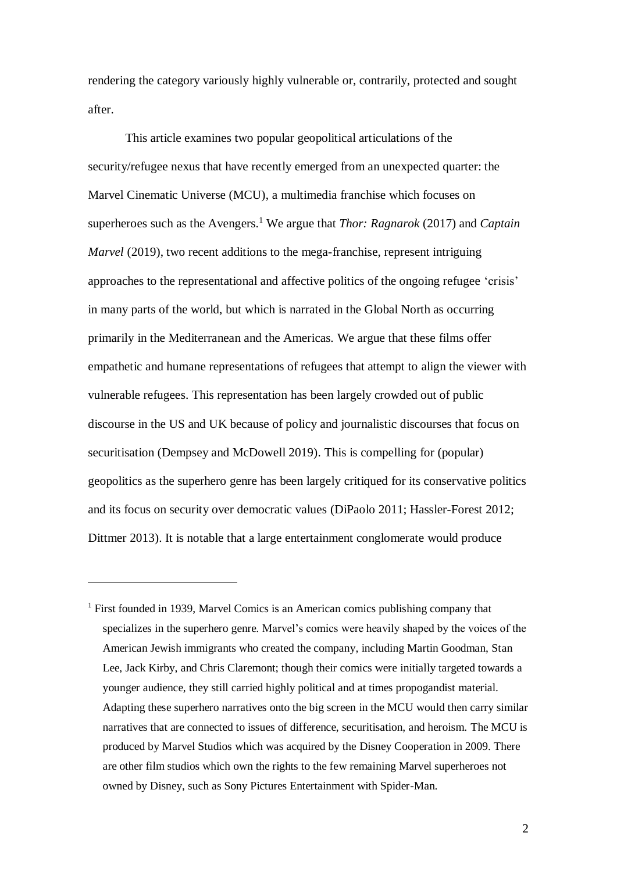rendering the category variously highly vulnerable or, contrarily, protected and sought after.

This article examines two popular geopolitical articulations of the security/refugee nexus that have recently emerged from an unexpected quarter: the Marvel Cinematic Universe (MCU), a multimedia franchise which focuses on superheroes such as the Avengers. <sup>1</sup> We argue that *Thor: Ragnarok* (2017) and *Captain Marvel* (2019), two recent additions to the mega-franchise, represent intriguing approaches to the representational and affective politics of the ongoing refugee 'crisis' in many parts of the world, but which is narrated in the Global North as occurring primarily in the Mediterranean and the Americas. We argue that these films offer empathetic and humane representations of refugees that attempt to align the viewer with vulnerable refugees. This representation has been largely crowded out of public discourse in the US and UK because of policy and journalistic discourses that focus on securitisation (Dempsey and McDowell 2019). This is compelling for (popular) geopolitics as the superhero genre has been largely critiqued for its conservative politics and its focus on security over democratic values (DiPaolo 2011; Hassler-Forest 2012; Dittmer 2013). It is notable that a large entertainment conglomerate would produce

<sup>&</sup>lt;sup>1</sup> First founded in 1939, Marvel Comics is an American comics publishing company that specializes in the superhero genre. Marvel's comics were heavily shaped by the voices of the American Jewish immigrants who created the company, including Martin Goodman, Stan Lee, Jack Kirby, and Chris Claremont; though their comics were initially targeted towards a younger audience, they still carried highly political and at times propogandist material. Adapting these superhero narratives onto the big screen in the MCU would then carry similar narratives that are connected to issues of difference, securitisation, and heroism. The MCU is produced by Marvel Studios which was acquired by the Disney Cooperation in 2009. There are other film studios which own the rights to the few remaining Marvel superheroes not owned by Disney, such as Sony Pictures Entertainment with Spider-Man.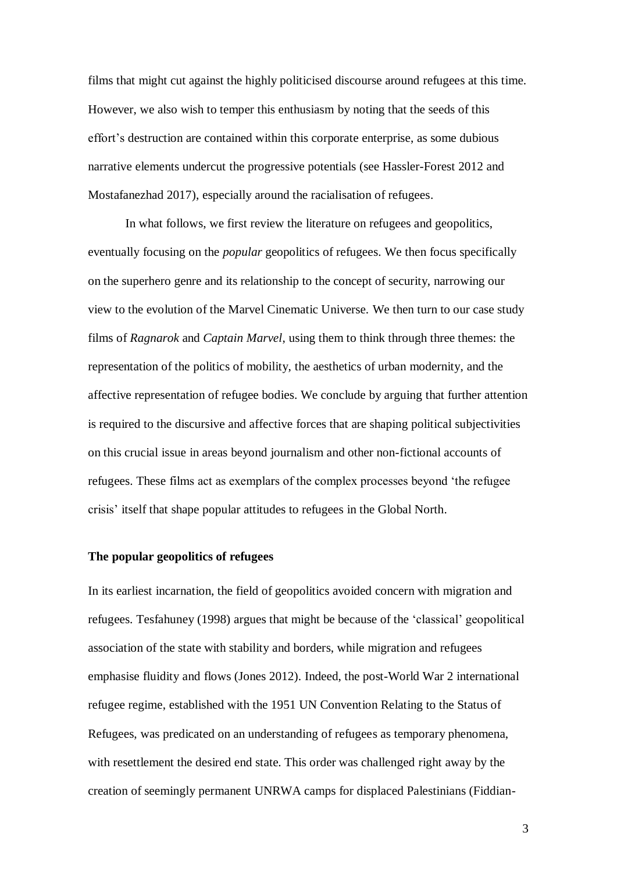films that might cut against the highly politicised discourse around refugees at this time. However, we also wish to temper this enthusiasm by noting that the seeds of this effort's destruction are contained within this corporate enterprise, as some dubious narrative elements undercut the progressive potentials (see Hassler-Forest 2012 and Mostafanezhad 2017), especially around the racialisation of refugees.

In what follows, we first review the literature on refugees and geopolitics, eventually focusing on the *popular* geopolitics of refugees. We then focus specifically on the superhero genre and its relationship to the concept of security, narrowing our view to the evolution of the Marvel Cinematic Universe. We then turn to our case study films of *Ragnarok* and *Captain Marvel*, using them to think through three themes: the representation of the politics of mobility, the aesthetics of urban modernity, and the affective representation of refugee bodies. We conclude by arguing that further attention is required to the discursive and affective forces that are shaping political subjectivities on this crucial issue in areas beyond journalism and other non-fictional accounts of refugees. These films act as exemplars of the complex processes beyond 'the refugee crisis' itself that shape popular attitudes to refugees in the Global North.

### **The popular geopolitics of refugees**

In its earliest incarnation, the field of geopolitics avoided concern with migration and refugees. Tesfahuney (1998) argues that might be because of the 'classical' geopolitical association of the state with stability and borders, while migration and refugees emphasise fluidity and flows (Jones 2012). Indeed, the post-World War 2 international refugee regime, established with the 1951 UN Convention Relating to the Status of Refugees, was predicated on an understanding of refugees as temporary phenomena, with resettlement the desired end state. This order was challenged right away by the creation of seemingly permanent UNRWA camps for displaced Palestinians (Fiddian-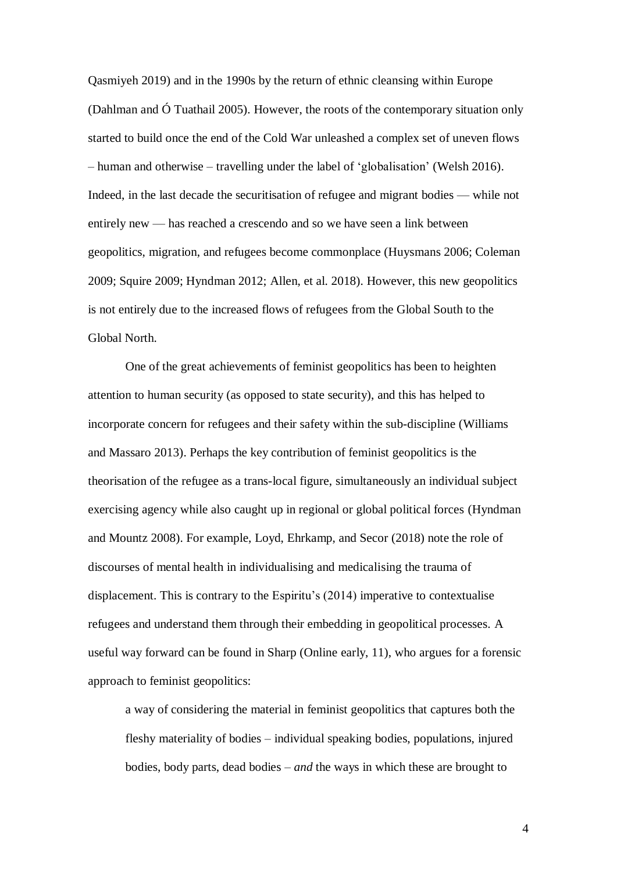Qasmiyeh 2019) and in the 1990s by the return of ethnic cleansing within Europe (Dahlman and Ó Tuathail 2005). However, the roots of the contemporary situation only started to build once the end of the Cold War unleashed a complex set of uneven flows – human and otherwise – travelling under the label of 'globalisation' (Welsh 2016). Indeed, in the last decade the securitisation of refugee and migrant bodies — while not entirely new — has reached a crescendo and so we have seen a link between geopolitics, migration, and refugees become commonplace (Huysmans 2006; Coleman 2009; Squire 2009; Hyndman 2012; Allen, et al. 2018). However, this new geopolitics is not entirely due to the increased flows of refugees from the Global South to the Global North.

One of the great achievements of feminist geopolitics has been to heighten attention to human security (as opposed to state security), and this has helped to incorporate concern for refugees and their safety within the sub-discipline (Williams and Massaro 2013). Perhaps the key contribution of feminist geopolitics is the theorisation of the refugee as a trans-local figure, simultaneously an individual subject exercising agency while also caught up in regional or global political forces (Hyndman and Mountz 2008). For example, Loyd, Ehrkamp, and Secor (2018) note the role of discourses of mental health in individualising and medicalising the trauma of displacement. This is contrary to the Espiritu's (2014) imperative to contextualise refugees and understand them through their embedding in geopolitical processes. A useful way forward can be found in Sharp (Online early, 11), who argues for a forensic approach to feminist geopolitics:

a way of considering the material in feminist geopolitics that captures both the fleshy materiality of bodies – individual speaking bodies, populations, injured bodies, body parts, dead bodies – *and* the ways in which these are brought to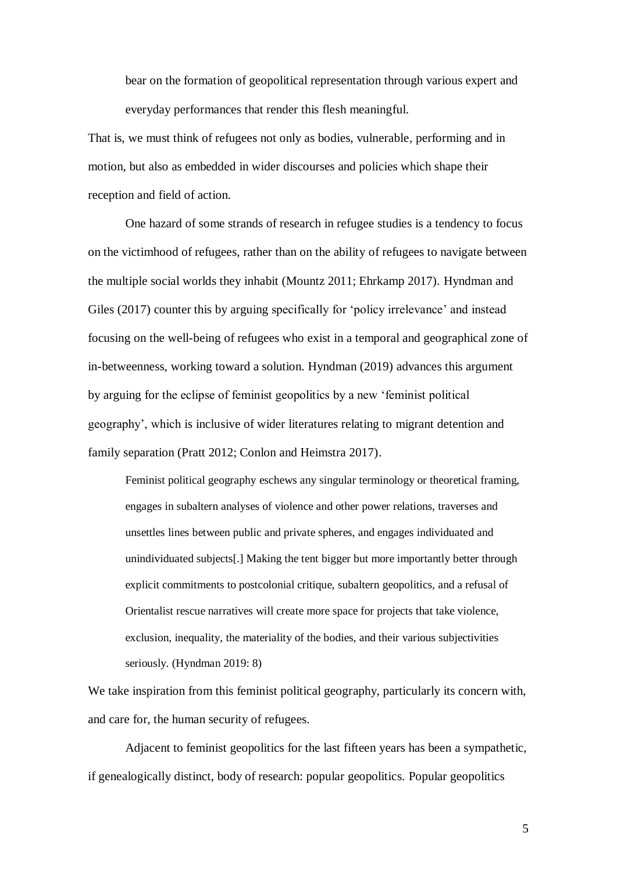bear on the formation of geopolitical representation through various expert and everyday performances that render this flesh meaningful.

That is, we must think of refugees not only as bodies, vulnerable, performing and in motion, but also as embedded in wider discourses and policies which shape their reception and field of action.

One hazard of some strands of research in refugee studies is a tendency to focus on the victimhood of refugees, rather than on the ability of refugees to navigate between the multiple social worlds they inhabit (Mountz 2011; Ehrkamp 2017). Hyndman and Giles (2017) counter this by arguing specifically for 'policy irrelevance' and instead focusing on the well-being of refugees who exist in a temporal and geographical zone of in-betweenness, working toward a solution. Hyndman (2019) advances this argument by arguing for the eclipse of feminist geopolitics by a new 'feminist political geography', which is inclusive of wider literatures relating to migrant detention and family separation (Pratt 2012; Conlon and Heimstra 2017).

Feminist political geography eschews any singular terminology or theoretical framing, engages in subaltern analyses of violence and other power relations, traverses and unsettles lines between public and private spheres, and engages individuated and unindividuated subjects[.] Making the tent bigger but more importantly better through explicit commitments to postcolonial critique, subaltern geopolitics, and a refusal of Orientalist rescue narratives will create more space for projects that take violence, exclusion, inequality, the materiality of the bodies, and their various subjectivities seriously. (Hyndman 2019: 8)

We take inspiration from this feminist political geography, particularly its concern with, and care for, the human security of refugees.

Adjacent to feminist geopolitics for the last fifteen years has been a sympathetic, if genealogically distinct, body of research: popular geopolitics. Popular geopolitics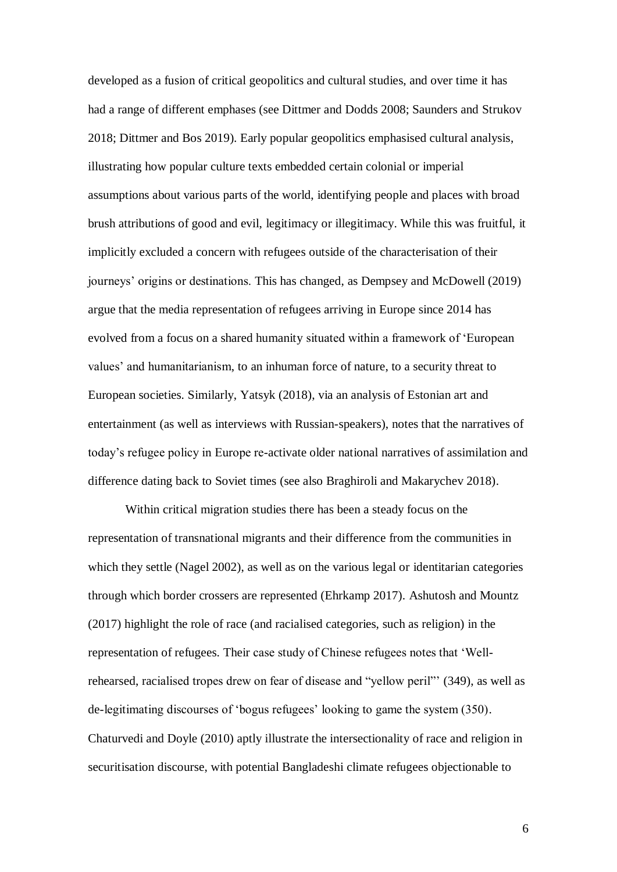developed as a fusion of critical geopolitics and cultural studies, and over time it has had a range of different emphases (see Dittmer and Dodds 2008; Saunders and Strukov 2018; Dittmer and Bos 2019). Early popular geopolitics emphasised cultural analysis, illustrating how popular culture texts embedded certain colonial or imperial assumptions about various parts of the world, identifying people and places with broad brush attributions of good and evil, legitimacy or illegitimacy. While this was fruitful, it implicitly excluded a concern with refugees outside of the characterisation of their journeys' origins or destinations. This has changed, as Dempsey and McDowell (2019) argue that the media representation of refugees arriving in Europe since 2014 has evolved from a focus on a shared humanity situated within a framework of 'European values' and humanitarianism, to an inhuman force of nature, to a security threat to European societies. Similarly, Yatsyk (2018), via an analysis of Estonian art and entertainment (as well as interviews with Russian-speakers), notes that the narratives of today's refugee policy in Europe re-activate older national narratives of assimilation and difference dating back to Soviet times (see also Braghiroli and Makarychev 2018).

Within critical migration studies there has been a steady focus on the representation of transnational migrants and their difference from the communities in which they settle (Nagel 2002), as well as on the various legal or identitarian categories through which border crossers are represented (Ehrkamp 2017). Ashutosh and Mountz (2017) highlight the role of race (and racialised categories, such as religion) in the representation of refugees. Their case study of Chinese refugees notes that 'Wellrehearsed, racialised tropes drew on fear of disease and "yellow peril"' (349), as well as de-legitimating discourses of 'bogus refugees' looking to game the system (350). Chaturvedi and Doyle (2010) aptly illustrate the intersectionality of race and religion in securitisation discourse, with potential Bangladeshi climate refugees objectionable to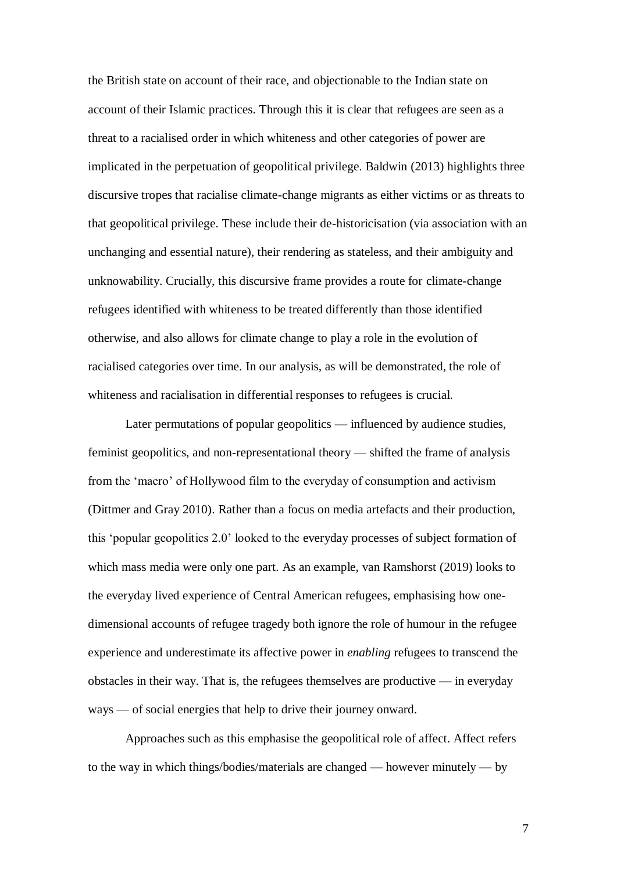the British state on account of their race, and objectionable to the Indian state on account of their Islamic practices. Through this it is clear that refugees are seen as a threat to a racialised order in which whiteness and other categories of power are implicated in the perpetuation of geopolitical privilege. Baldwin (2013) highlights three discursive tropes that racialise climate-change migrants as either victims or as threats to that geopolitical privilege. These include their de-historicisation (via association with an unchanging and essential nature), their rendering as stateless, and their ambiguity and unknowability. Crucially, this discursive frame provides a route for climate-change refugees identified with whiteness to be treated differently than those identified otherwise, and also allows for climate change to play a role in the evolution of racialised categories over time. In our analysis, as will be demonstrated, the role of whiteness and racialisation in differential responses to refugees is crucial.

Later permutations of popular geopolitics — influenced by audience studies, feminist geopolitics, and non-representational theory — shifted the frame of analysis from the 'macro' of Hollywood film to the everyday of consumption and activism (Dittmer and Gray 2010). Rather than a focus on media artefacts and their production, this 'popular geopolitics 2.0' looked to the everyday processes of subject formation of which mass media were only one part. As an example, van Ramshorst (2019) looks to the everyday lived experience of Central American refugees, emphasising how onedimensional accounts of refugee tragedy both ignore the role of humour in the refugee experience and underestimate its affective power in *enabling* refugees to transcend the obstacles in their way. That is, the refugees themselves are productive — in everyday ways — of social energies that help to drive their journey onward.

Approaches such as this emphasise the geopolitical role of affect. Affect refers to the way in which things/bodies/materials are changed — however minutely — by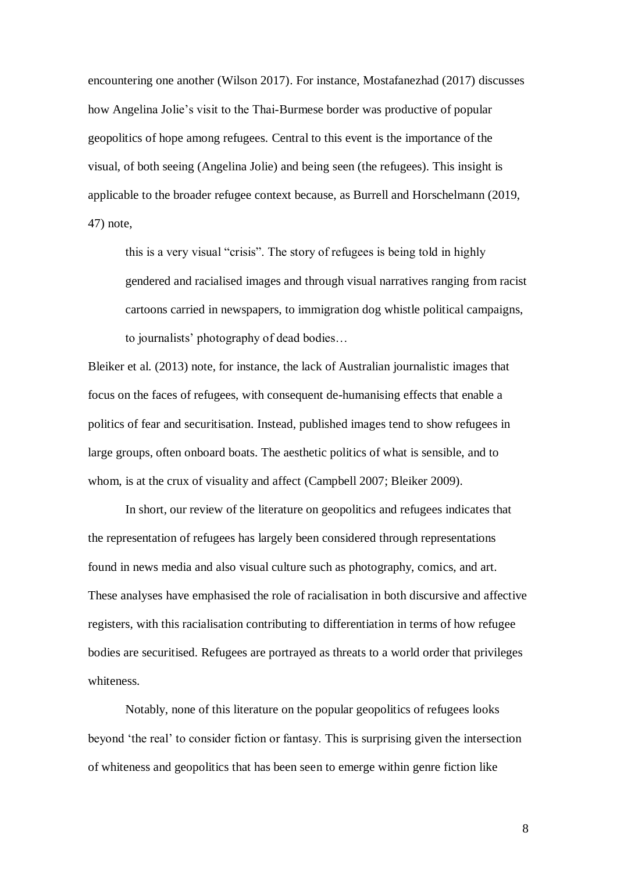encountering one another (Wilson 2017). For instance, Mostafanezhad (2017) discusses how Angelina Jolie's visit to the Thai-Burmese border was productive of popular geopolitics of hope among refugees. Central to this event is the importance of the visual, of both seeing (Angelina Jolie) and being seen (the refugees). This insight is applicable to the broader refugee context because, as Burrell and Horschelmann (2019, 47) note,

this is a very visual "crisis". The story of refugees is being told in highly gendered and racialised images and through visual narratives ranging from racist cartoons carried in newspapers, to immigration dog whistle political campaigns, to journalists' photography of dead bodies…

Bleiker et al. (2013) note, for instance, the lack of Australian journalistic images that focus on the faces of refugees, with consequent de-humanising effects that enable a politics of fear and securitisation. Instead, published images tend to show refugees in large groups, often onboard boats. The aesthetic politics of what is sensible, and to whom, is at the crux of visuality and affect (Campbell 2007; Bleiker 2009).

In short, our review of the literature on geopolitics and refugees indicates that the representation of refugees has largely been considered through representations found in news media and also visual culture such as photography, comics, and art. These analyses have emphasised the role of racialisation in both discursive and affective registers, with this racialisation contributing to differentiation in terms of how refugee bodies are securitised. Refugees are portrayed as threats to a world order that privileges whiteness.

Notably, none of this literature on the popular geopolitics of refugees looks beyond 'the real' to consider fiction or fantasy. This is surprising given the intersection of whiteness and geopolitics that has been seen to emerge within genre fiction like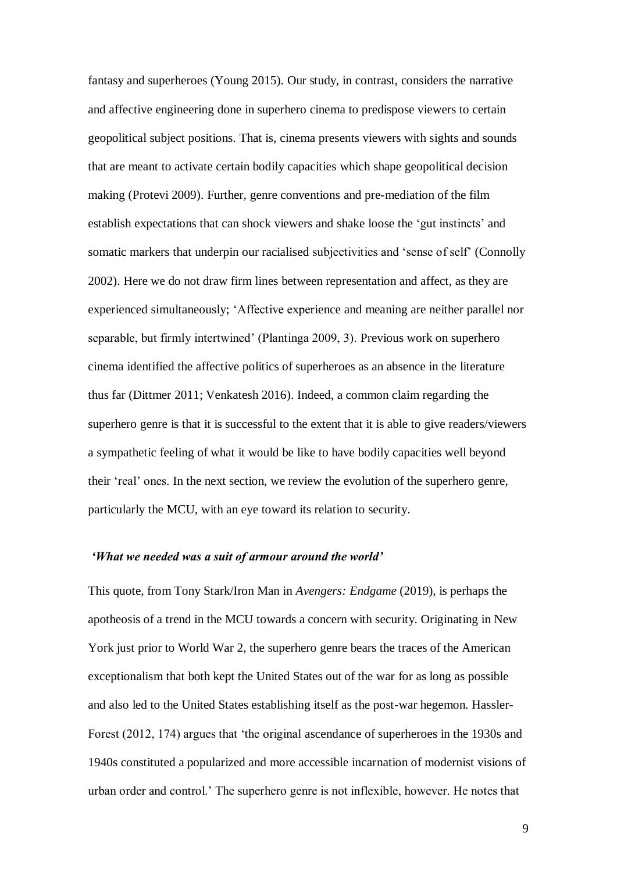fantasy and superheroes (Young 2015). Our study, in contrast, considers the narrative and affective engineering done in superhero cinema to predispose viewers to certain geopolitical subject positions. That is, cinema presents viewers with sights and sounds that are meant to activate certain bodily capacities which shape geopolitical decision making (Protevi 2009). Further, genre conventions and pre-mediation of the film establish expectations that can shock viewers and shake loose the 'gut instincts' and somatic markers that underpin our racialised subjectivities and 'sense of self' (Connolly 2002). Here we do not draw firm lines between representation and affect, as they are experienced simultaneously; 'Affective experience and meaning are neither parallel nor separable, but firmly intertwined' (Plantinga 2009, 3). Previous work on superhero cinema identified the affective politics of superheroes as an absence in the literature thus far (Dittmer 2011; Venkatesh 2016). Indeed, a common claim regarding the superhero genre is that it is successful to the extent that it is able to give readers/viewers a sympathetic feeling of what it would be like to have bodily capacities well beyond their 'real' ones. In the next section, we review the evolution of the superhero genre, particularly the MCU, with an eye toward its relation to security.

### *'What we needed was a suit of armour around the world'*

This quote, from Tony Stark/Iron Man in *Avengers: Endgame* (2019), is perhaps the apotheosis of a trend in the MCU towards a concern with security. Originating in New York just prior to World War 2, the superhero genre bears the traces of the American exceptionalism that both kept the United States out of the war for as long as possible and also led to the United States establishing itself as the post-war hegemon. Hassler-Forest (2012, 174) argues that 'the original ascendance of superheroes in the 1930s and 1940s constituted a popularized and more accessible incarnation of modernist visions of urban order and control.' The superhero genre is not inflexible, however. He notes that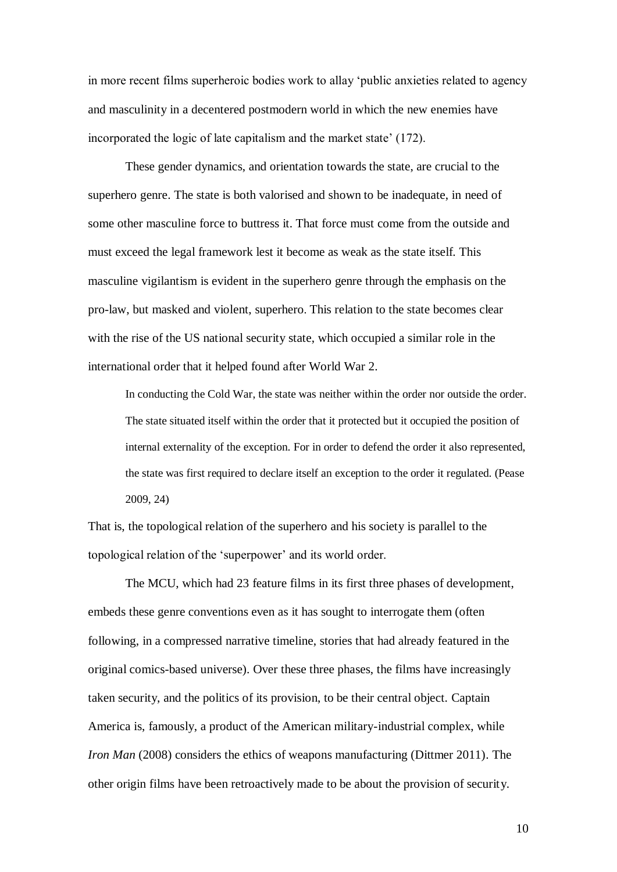in more recent films superheroic bodies work to allay 'public anxieties related to agency and masculinity in a decentered postmodern world in which the new enemies have incorporated the logic of late capitalism and the market state' (172).

These gender dynamics, and orientation towards the state, are crucial to the superhero genre. The state is both valorised and shown to be inadequate, in need of some other masculine force to buttress it. That force must come from the outside and must exceed the legal framework lest it become as weak as the state itself. This masculine vigilantism is evident in the superhero genre through the emphasis on the pro-law, but masked and violent, superhero. This relation to the state becomes clear with the rise of the US national security state, which occupied a similar role in the international order that it helped found after World War 2.

In conducting the Cold War, the state was neither within the order nor outside the order. The state situated itself within the order that it protected but it occupied the position of internal externality of the exception. For in order to defend the order it also represented, the state was first required to declare itself an exception to the order it regulated. (Pease 2009, 24)

That is, the topological relation of the superhero and his society is parallel to the topological relation of the 'superpower' and its world order.

The MCU, which had 23 feature films in its first three phases of development, embeds these genre conventions even as it has sought to interrogate them (often following, in a compressed narrative timeline, stories that had already featured in the original comics-based universe). Over these three phases, the films have increasingly taken security, and the politics of its provision, to be their central object. Captain America is, famously, a product of the American military-industrial complex, while *Iron Man* (2008) considers the ethics of weapons manufacturing (Dittmer 2011). The other origin films have been retroactively made to be about the provision of security.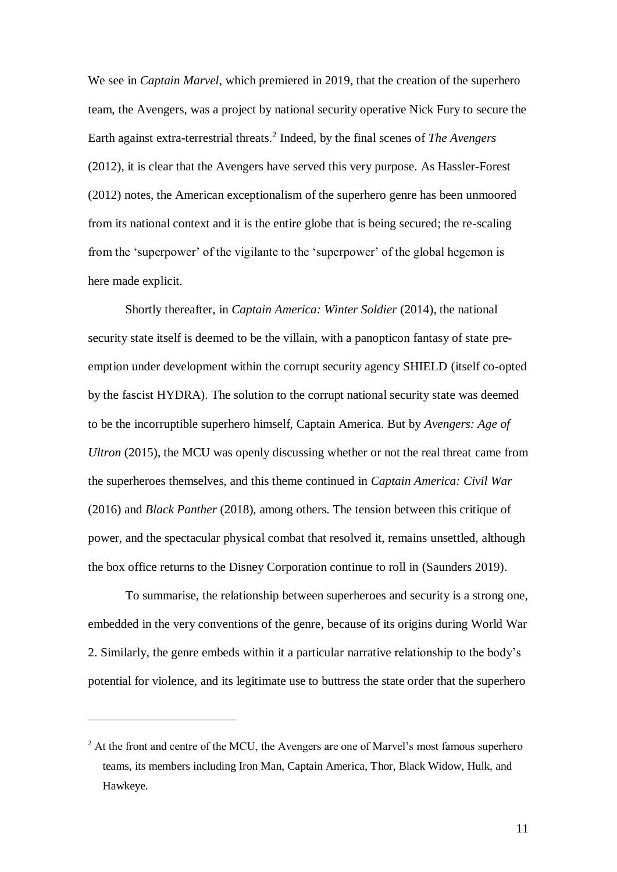We see in *Captain Marvel*, which premiered in 2019, that the creation of the superhero team, the Avengers, was a project by national security operative Nick Fury to secure the Earth against extra-terrestrial threats.<sup>2</sup> Indeed, by the final scenes of *The Avengers* (2012), it is clear that the Avengers have served this very purpose. As Hassler-Forest (2012) notes, the American exceptionalism of the superhero genre has been unmoored from its national context and it is the entire globe that is being secured; the re-scaling from the 'superpower' of the vigilante to the 'superpower' of the global hegemon is here made explicit.

Shortly thereafter, in *Captain America: Winter Soldier* (2014), the national security state itself is deemed to be the villain, with a panopticon fantasy of state preemption under development within the corrupt security agency SHIELD (itself co-opted by the fascist HYDRA). The solution to the corrupt national security state was deemed to be the incorruptible superhero himself, Captain America. But by *Avengers: Age of Ultron* (2015), the MCU was openly discussing whether or not the real threat came from the superheroes themselves, and this theme continued in *Captain America: Civil War* (2016) and *Black Panther* (2018), among others. The tension between this critique of power, and the spectacular physical combat that resolved it, remains unsettled, although the box office returns to the Disney Corporation continue to roll in (Saunders 2019).

To summarise, the relationship between superheroes and security is a strong one, embedded in the very conventions of the genre, because of its origins during World War 2. Similarly, the genre embeds within it a particular narrative relationship to the body's potential for violence, and its legitimate use to buttress the state order that the superhero

 $2^2$  At the front and centre of the MCU, the Avengers are one of Marvel's most famous superhero teams, its members including Iron Man, Captain America, Thor, Black Widow, Hulk, and Hawkeye.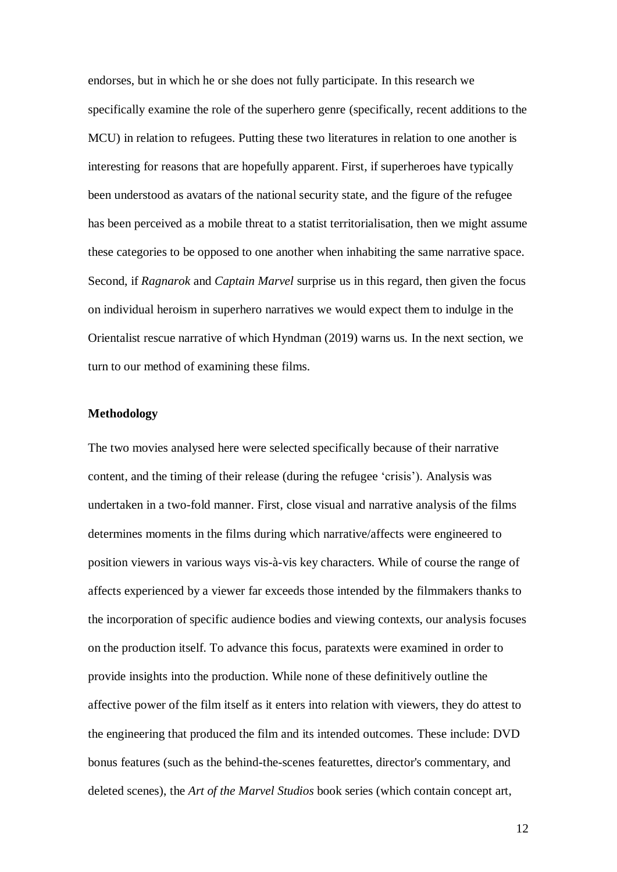endorses, but in which he or she does not fully participate. In this research we specifically examine the role of the superhero genre (specifically, recent additions to the MCU) in relation to refugees. Putting these two literatures in relation to one another is interesting for reasons that are hopefully apparent. First, if superheroes have typically been understood as avatars of the national security state, and the figure of the refugee has been perceived as a mobile threat to a statist territorialisation, then we might assume these categories to be opposed to one another when inhabiting the same narrative space. Second, if *Ragnarok* and *Captain Marvel* surprise us in this regard, then given the focus on individual heroism in superhero narratives we would expect them to indulge in the Orientalist rescue narrative of which Hyndman (2019) warns us. In the next section, we turn to our method of examining these films.

### **Methodology**

The two movies analysed here were selected specifically because of their narrative content, and the timing of their release (during the refugee 'crisis'). Analysis was undertaken in a two-fold manner. First, close visual and narrative analysis of the films determines moments in the films during which narrative/affects were engineered to position viewers in various ways vis-à-vis key characters. While of course the range of affects experienced by a viewer far exceeds those intended by the filmmakers thanks to the incorporation of specific audience bodies and viewing contexts, our analysis focuses on the production itself. To advance this focus, paratexts were examined in order to provide insights into the production. While none of these definitively outline the affective power of the film itself as it enters into relation with viewers, they do attest to the engineering that produced the film and its intended outcomes. These include: DVD bonus features (such as the behind-the-scenes featurettes, director's commentary, and deleted scenes), the *Art of the Marvel Studios* book series (which contain concept art,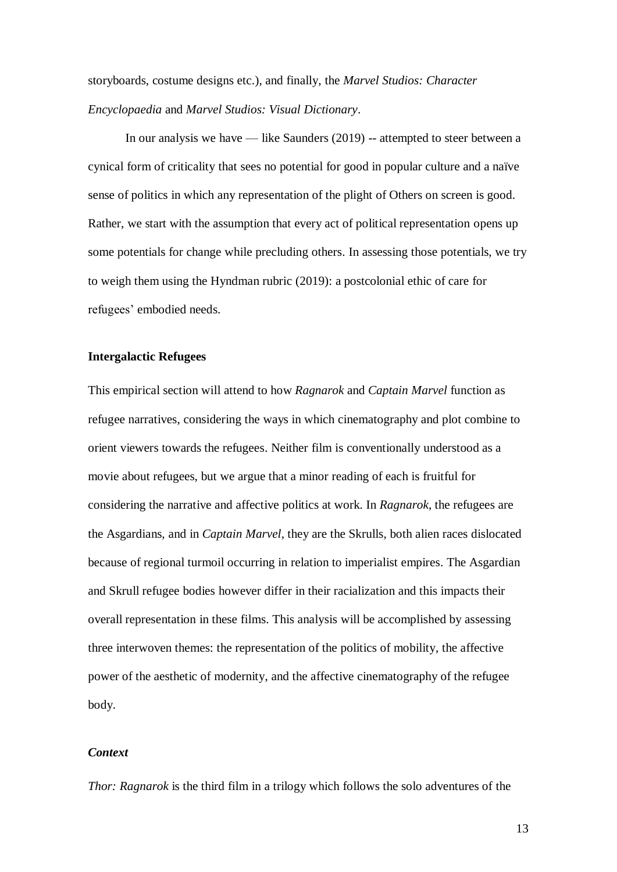storyboards, costume designs etc.), and finally, the *Marvel Studios: Character Encyclopaedia* and *Marvel Studios: Visual Dictionary*.

In our analysis we have — like Saunders (2019) -- attempted to steer between a cynical form of criticality that sees no potential for good in popular culture and a naïve sense of politics in which any representation of the plight of Others on screen is good. Rather, we start with the assumption that every act of political representation opens up some potentials for change while precluding others. In assessing those potentials, we try to weigh them using the Hyndman rubric (2019): a postcolonial ethic of care for refugees' embodied needs.

### **Intergalactic Refugees**

This empirical section will attend to how *Ragnarok* and *Captain Marvel* function as refugee narratives, considering the ways in which cinematography and plot combine to orient viewers towards the refugees. Neither film is conventionally understood as a movie about refugees, but we argue that a minor reading of each is fruitful for considering the narrative and affective politics at work. In *Ragnarok*, the refugees are the Asgardians, and in *Captain Marvel*, they are the Skrulls, both alien races dislocated because of regional turmoil occurring in relation to imperialist empires. The Asgardian and Skrull refugee bodies however differ in their racialization and this impacts their overall representation in these films. This analysis will be accomplished by assessing three interwoven themes: the representation of the politics of mobility, the affective power of the aesthetic of modernity, and the affective cinematography of the refugee body.

#### *Context*

*Thor: Ragnarok* is the third film in a trilogy which follows the solo adventures of the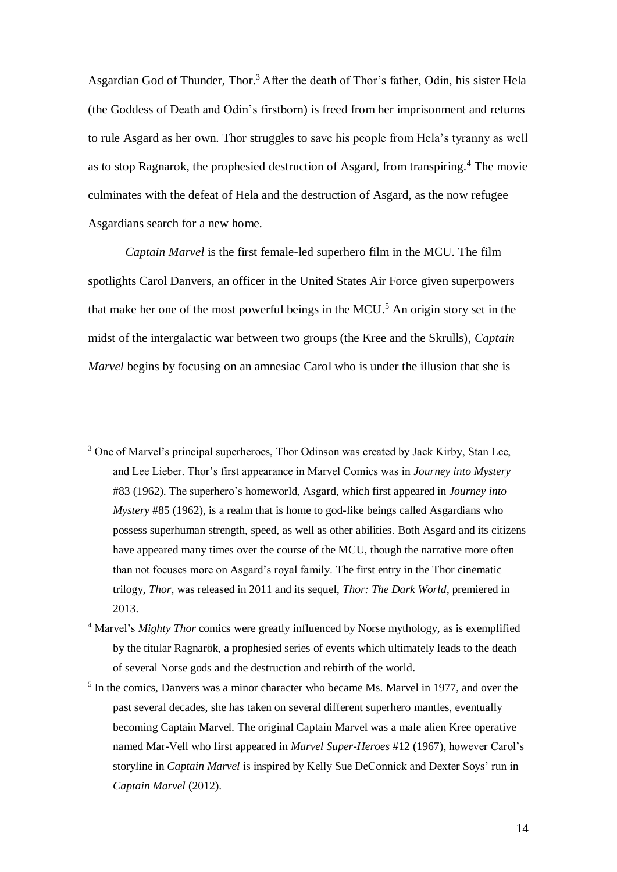Asgardian God of Thunder, Thor.<sup>3</sup> After the death of Thor's father, Odin, his sister Hela (the Goddess of Death and Odin's firstborn) is freed from her imprisonment and returns to rule Asgard as her own. Thor struggles to save his people from Hela's tyranny as well as to stop Ragnarok, the prophesied destruction of Asgard, from transpiring.<sup>4</sup> The movie culminates with the defeat of Hela and the destruction of Asgard, as the now refugee Asgardians search for a new home.

*Captain Marvel* is the first female-led superhero film in the MCU. The film spotlights Carol Danvers, an officer in the United States Air Force given superpowers that make her one of the most powerful beings in the MCU. <sup>5</sup> An origin story set in the midst of the intergalactic war between two groups (the Kree and the Skrulls), *Captain Marvel* begins by focusing on an amnesiac Carol who is under the illusion that she is

<sup>&</sup>lt;sup>3</sup> One of Marvel's principal superheroes, Thor Odinson was created by Jack Kirby, Stan Lee, and Lee Lieber. Thor's first appearance in Marvel Comics was in *Journey into Mystery*  #83 (1962). The superhero's homeworld, Asgard, which first appeared in *Journey into Mystery* #85 (1962), is a realm that is home to god-like beings called Asgardians who possess superhuman strength, speed, as well as other abilities. Both Asgard and its citizens have appeared many times over the course of the MCU, though the narrative more often than not focuses more on Asgard's royal family. The first entry in the Thor cinematic trilogy, *Thor,* was released in 2011 and its sequel, *Thor: The Dark World*, premiered in 2013.

<sup>4</sup> Marvel's *Mighty Thor* comics were greatly influenced by Norse mythology, as is exemplified by the titular Ragnarök, a prophesied series of events which ultimately leads to the death of several Norse gods and the destruction and rebirth of the world.

<sup>&</sup>lt;sup>5</sup> In the comics, Danvers was a minor character who became Ms. Marvel in 1977, and over the past several decades, she has taken on several different superhero mantles, eventually becoming Captain Marvel. The original Captain Marvel was a male alien Kree operative named Mar-Vell who first appeared in *Marvel Super-Heroes* #12 (1967), however Carol's storyline in *Captain Marvel* is inspired by Kelly Sue DeConnick and Dexter Soys' run in *Captain Marvel* (2012).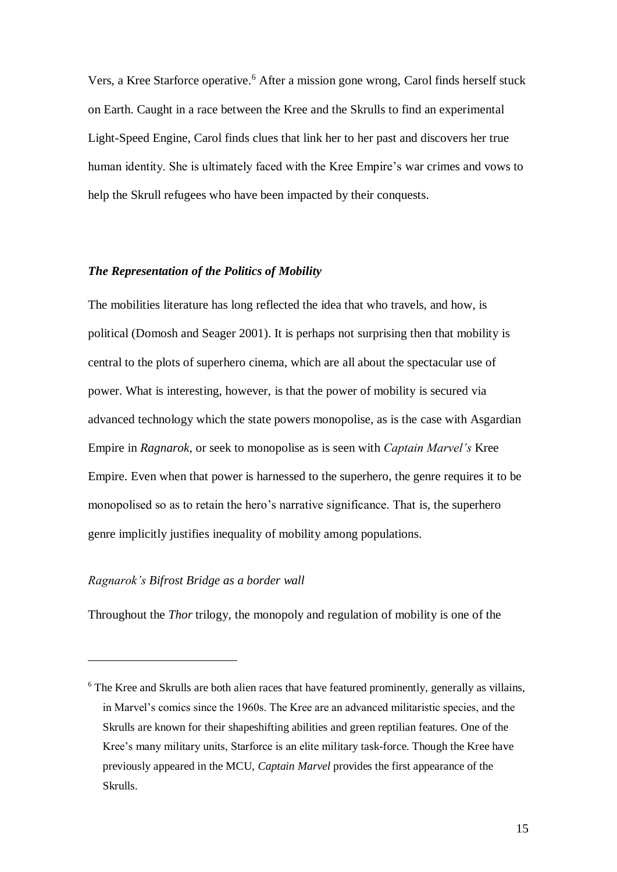Vers, a Kree Starforce operative. <sup>6</sup> After a mission gone wrong, Carol finds herself stuck on Earth. Caught in a race between the Kree and the Skrulls to find an experimental Light-Speed Engine, Carol finds clues that link her to her past and discovers her true human identity. She is ultimately faced with the Kree Empire's war crimes and vows to help the Skrull refugees who have been impacted by their conquests.

### *The Representation of the Politics of Mobility*

The mobilities literature has long reflected the idea that who travels, and how, is political (Domosh and Seager 2001). It is perhaps not surprising then that mobility is central to the plots of superhero cinema, which are all about the spectacular use of power. What is interesting, however, is that the power of mobility is secured via advanced technology which the state powers monopolise, as is the case with Asgardian Empire in *Ragnarok*, or seek to monopolise as is seen with *Captain Marvel's* Kree Empire. Even when that power is harnessed to the superhero, the genre requires it to be monopolised so as to retain the hero's narrative significance. That is, the superhero genre implicitly justifies inequality of mobility among populations.

#### *Ragnarok's Bifrost Bridge as a border wall*

 $\overline{a}$ 

Throughout the *Thor* trilogy, the monopoly and regulation of mobility is one of the

<sup>&</sup>lt;sup>6</sup> The Kree and Skrulls are both alien races that have featured prominently, generally as villains, in Marvel's comics since the 1960s. The Kree are an advanced militaristic species, and the Skrulls are known for their shapeshifting abilities and green reptilian features. One of the Kree's many military units, Starforce is an elite military task-force. Though the Kree have previously appeared in the MCU, *Captain Marvel* provides the first appearance of the Skrulls.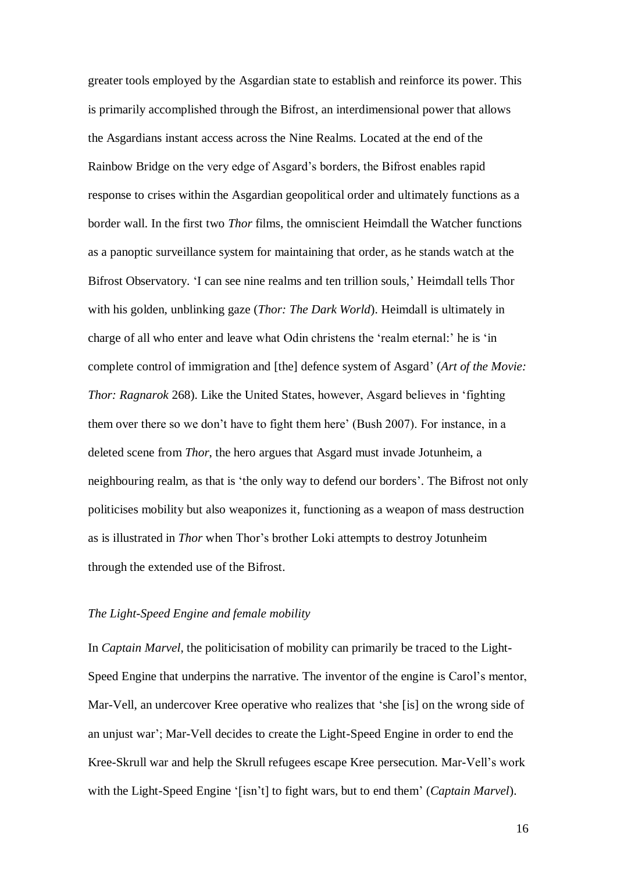greater tools employed by the Asgardian state to establish and reinforce its power. This is primarily accomplished through the Bifrost, an interdimensional power that allows the Asgardians instant access across the Nine Realms. Located at the end of the Rainbow Bridge on the very edge of Asgard's borders, the Bifrost enables rapid response to crises within the Asgardian geopolitical order and ultimately functions as a border wall. In the first two *Thor* films, the omniscient Heimdall the Watcher functions as a panoptic surveillance system for maintaining that order, as he stands watch at the Bifrost Observatory. 'I can see nine realms and ten trillion souls,' Heimdall tells Thor with his golden, unblinking gaze (*Thor: The Dark World*). Heimdall is ultimately in charge of all who enter and leave what Odin christens the 'realm eternal:' he is 'in complete control of immigration and [the] defence system of Asgard' (*Art of the Movie: Thor: Ragnarok* 268). Like the United States, however, Asgard believes in 'fighting them over there so we don't have to fight them here' (Bush 2007). For instance, in a deleted scene from *Thor*, the hero argues that Asgard must invade Jotunheim, a neighbouring realm, as that is 'the only way to defend our borders'. The Bifrost not only politicises mobility but also weaponizes it, functioning as a weapon of mass destruction as is illustrated in *Thor* when Thor's brother Loki attempts to destroy Jotunheim through the extended use of the Bifrost.

### *The Light-Speed Engine and female mobility*

In *Captain Marvel*, the politicisation of mobility can primarily be traced to the Light-Speed Engine that underpins the narrative. The inventor of the engine is Carol's mentor, Mar-Vell, an undercover Kree operative who realizes that 'she [is] on the wrong side of an unjust war'; Mar-Vell decides to create the Light-Speed Engine in order to end the Kree-Skrull war and help the Skrull refugees escape Kree persecution. Mar-Vell's work with the Light-Speed Engine '[isn't] to fight wars, but to end them' (*Captain Marvel*).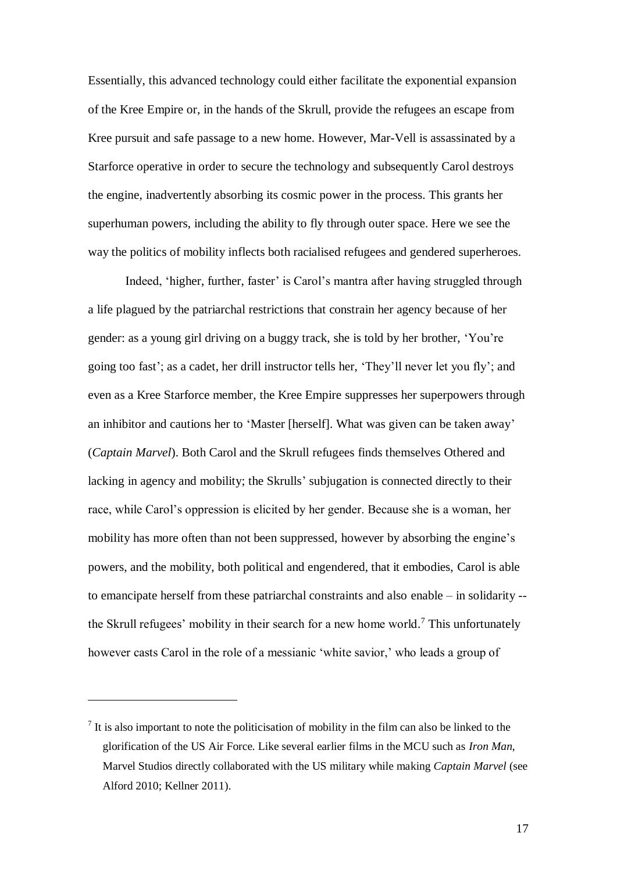Essentially, this advanced technology could either facilitate the exponential expansion of the Kree Empire or, in the hands of the Skrull, provide the refugees an escape from Kree pursuit and safe passage to a new home. However, Mar-Vell is assassinated by a Starforce operative in order to secure the technology and subsequently Carol destroys the engine, inadvertently absorbing its cosmic power in the process. This grants her superhuman powers, including the ability to fly through outer space. Here we see the way the politics of mobility inflects both racialised refugees and gendered superheroes.

Indeed, 'higher, further, faster' is Carol's mantra after having struggled through a life plagued by the patriarchal restrictions that constrain her agency because of her gender: as a young girl driving on a buggy track, she is told by her brother, 'You're going too fast'; as a cadet, her drill instructor tells her, 'They'll never let you fly'; and even as a Kree Starforce member, the Kree Empire suppresses her superpowers through an inhibitor and cautions her to 'Master [herself]. What was given can be taken away' (*Captain Marvel*). Both Carol and the Skrull refugees finds themselves Othered and lacking in agency and mobility; the Skrulls' subjugation is connected directly to their race, while Carol's oppression is elicited by her gender. Because she is a woman, her mobility has more often than not been suppressed, however by absorbing the engine's powers, and the mobility, both political and engendered, that it embodies, Carol is able to emancipate herself from these patriarchal constraints and also enable – in solidarity - the Skrull refugees' mobility in their search for a new home world.<sup>7</sup> This unfortunately however casts Carol in the role of a messianic 'white savior,' who leads a group of

 $<sup>7</sup>$  It is also important to note the politicisation of mobility in the film can also be linked to the</sup> glorification of the US Air Force. Like several earlier films in the MCU such as *Iron Man*, Marvel Studios directly collaborated with the US military while making *Captain Marvel* (see Alford 2010; Kellner 2011).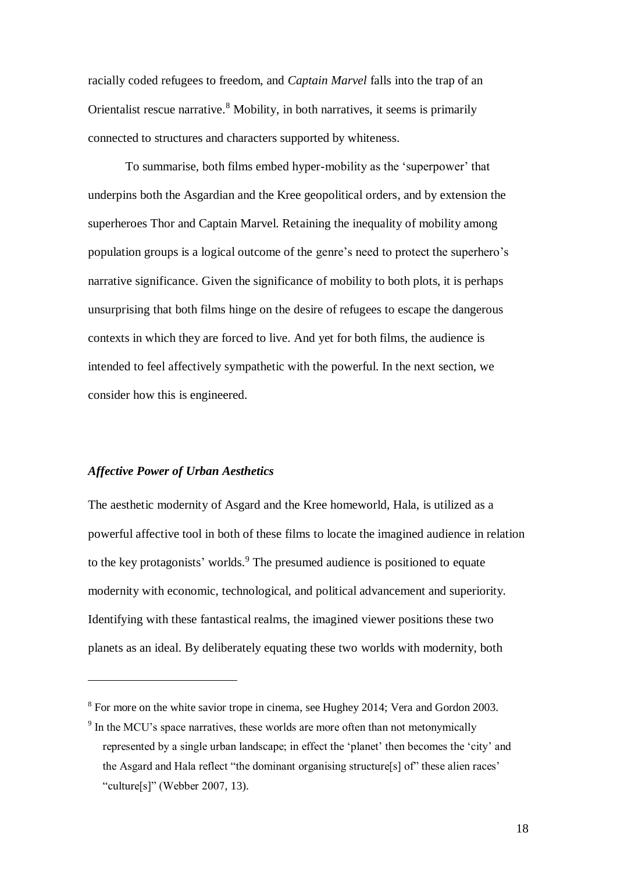racially coded refugees to freedom, and *Captain Marvel* falls into the trap of an Orientalist rescue narrative. <sup>8</sup> Mobility, in both narratives, it seems is primarily connected to structures and characters supported by whiteness.

To summarise, both films embed hyper-mobility as the 'superpower' that underpins both the Asgardian and the Kree geopolitical orders, and by extension the superheroes Thor and Captain Marvel. Retaining the inequality of mobility among population groups is a logical outcome of the genre's need to protect the superhero's narrative significance. Given the significance of mobility to both plots, it is perhaps unsurprising that both films hinge on the desire of refugees to escape the dangerous contexts in which they are forced to live. And yet for both films, the audience is intended to feel affectively sympathetic with the powerful. In the next section, we consider how this is engineered.

#### *Affective Power of Urban Aesthetics*

 $\overline{a}$ 

The aesthetic modernity of Asgard and the Kree homeworld, Hala, is utilized as a powerful affective tool in both of these films to locate the imagined audience in relation to the key protagonists' worlds. <sup>9</sup> The presumed audience is positioned to equate modernity with economic, technological, and political advancement and superiority. Identifying with these fantastical realms, the imagined viewer positions these two planets as an ideal. By deliberately equating these two worlds with modernity, both

 $8$  For more on the white savior trope in cinema, see Hughey 2014; Vera and Gordon 2003.

<sup>&</sup>lt;sup>9</sup> In the MCU's space narratives, these worlds are more often than not metonymically represented by a single urban landscape; in effect the 'planet' then becomes the 'city' and the Asgard and Hala reflect "the dominant organising structure[s] of" these alien races' "culture[s]" (Webber 2007, 13).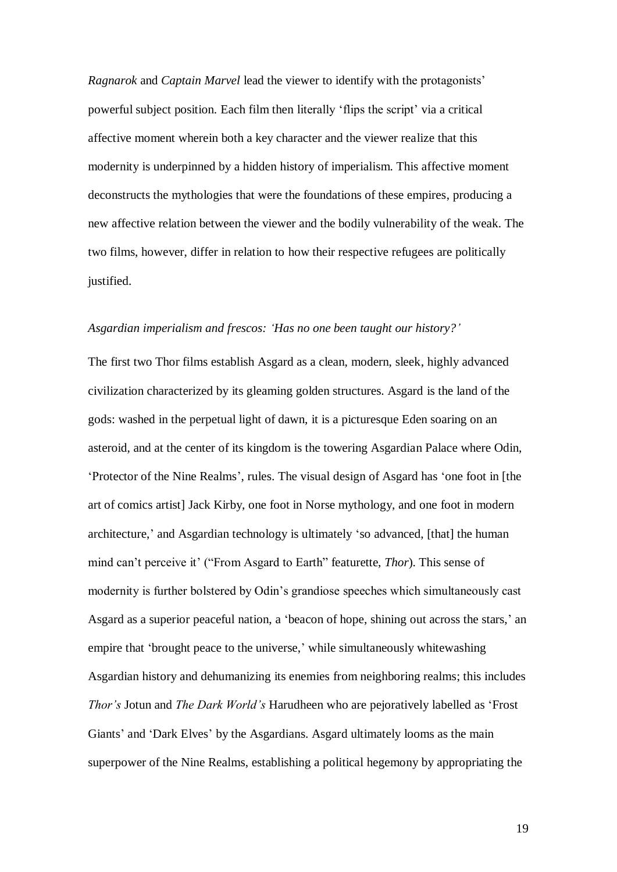*Ragnarok* and *Captain Marvel* lead the viewer to identify with the protagonists' powerful subject position. Each film then literally 'flips the script' via a critical affective moment wherein both a key character and the viewer realize that this modernity is underpinned by a hidden history of imperialism. This affective moment deconstructs the mythologies that were the foundations of these empires, producing a new affective relation between the viewer and the bodily vulnerability of the weak. The two films, however, differ in relation to how their respective refugees are politically justified.

#### *Asgardian imperialism and frescos: 'Has no one been taught our history?'*

The first two Thor films establish Asgard as a clean, modern, sleek, highly advanced civilization characterized by its gleaming golden structures. Asgard is the land of the gods: washed in the perpetual light of dawn, it is a picturesque Eden soaring on an asteroid, and at the center of its kingdom is the towering Asgardian Palace where Odin, 'Protector of the Nine Realms', rules. The visual design of Asgard has 'one foot in [the art of comics artist] Jack Kirby, one foot in Norse mythology, and one foot in modern architecture,' and Asgardian technology is ultimately 'so advanced, [that] the human mind can't perceive it' ("From Asgard to Earth" featurette, *Thor*). This sense of modernity is further bolstered by Odin's grandiose speeches which simultaneously cast Asgard as a superior peaceful nation, a 'beacon of hope, shining out across the stars,' an empire that 'brought peace to the universe,' while simultaneously whitewashing Asgardian history and dehumanizing its enemies from neighboring realms; this includes *Thor's* Jotun and *The Dark World's* Harudheen who are pejoratively labelled as 'Frost Giants' and 'Dark Elves' by the Asgardians. Asgard ultimately looms as the main superpower of the Nine Realms, establishing a political hegemony by appropriating the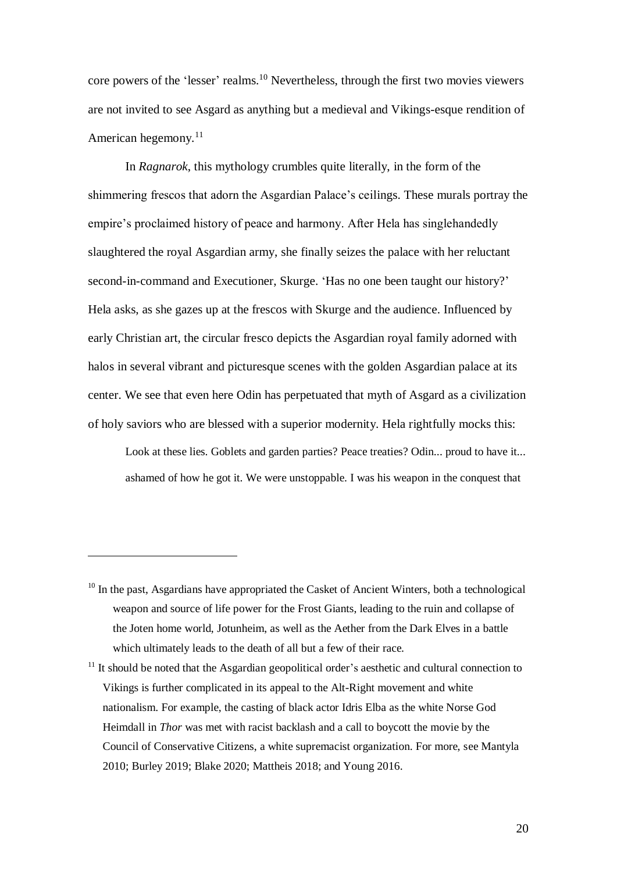core powers of the 'lesser' realms.<sup>10</sup> Nevertheless, through the first two movies viewers are not invited to see Asgard as anything but a medieval and Vikings-esque rendition of American hegemony.<sup>11</sup>

In *Ragnarok*, this mythology crumbles quite literally, in the form of the shimmering frescos that adorn the Asgardian Palace's ceilings. These murals portray the empire's proclaimed history of peace and harmony. After Hela has singlehandedly slaughtered the royal Asgardian army, she finally seizes the palace with her reluctant second-in-command and Executioner, Skurge. 'Has no one been taught our history?' Hela asks, as she gazes up at the frescos with Skurge and the audience. Influenced by early Christian art, the circular fresco depicts the Asgardian royal family adorned with halos in several vibrant and picturesque scenes with the golden Asgardian palace at its center. We see that even here Odin has perpetuated that myth of Asgard as a civilization of holy saviors who are blessed with a superior modernity. Hela rightfully mocks this:

Look at these lies. Goblets and garden parties? Peace treaties? Odin... proud to have it... ashamed of how he got it. We were unstoppable. I was his weapon in the conquest that

 $10$  In the past, Asgardians have appropriated the Casket of Ancient Winters, both a technological weapon and source of life power for the Frost Giants, leading to the ruin and collapse of the Joten home world, Jotunheim, as well as the Aether from the Dark Elves in a battle which ultimately leads to the death of all but a few of their race.

 $11$  It should be noted that the Asgardian geopolitical order's aesthetic and cultural connection to Vikings is further complicated in its appeal to the Alt-Right movement and white nationalism. For example, the casting of black actor Idris Elba as the white Norse God Heimdall in *Thor* was met with racist backlash and a call to boycott the movie by the Council of Conservative Citizens, a white supremacist organization. For more, see Mantyla 2010; Burley 2019; Blake 2020; Mattheis 2018; and Young 2016.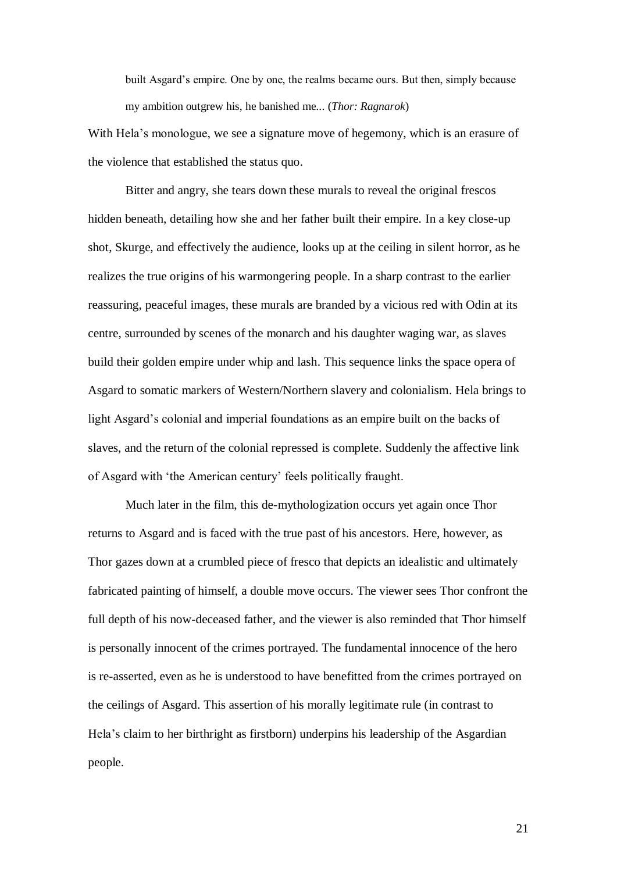built Asgard's empire. One by one, the realms became ours. But then, simply because my ambition outgrew his, he banished me... (*Thor: Ragnarok*)

With Hela's monologue, we see a signature move of hegemony, which is an erasure of the violence that established the status quo.

Bitter and angry, she tears down these murals to reveal the original frescos hidden beneath, detailing how she and her father built their empire. In a key close-up shot, Skurge, and effectively the audience, looks up at the ceiling in silent horror, as he realizes the true origins of his warmongering people. In a sharp contrast to the earlier reassuring, peaceful images, these murals are branded by a vicious red with Odin at its centre, surrounded by scenes of the monarch and his daughter waging war, as slaves build their golden empire under whip and lash. This sequence links the space opera of Asgard to somatic markers of Western/Northern slavery and colonialism. Hela brings to light Asgard's colonial and imperial foundations as an empire built on the backs of slaves, and the return of the colonial repressed is complete. Suddenly the affective link of Asgard with 'the American century' feels politically fraught.

Much later in the film, this de-mythologization occurs yet again once Thor returns to Asgard and is faced with the true past of his ancestors. Here, however, as Thor gazes down at a crumbled piece of fresco that depicts an idealistic and ultimately fabricated painting of himself, a double move occurs. The viewer sees Thor confront the full depth of his now-deceased father, and the viewer is also reminded that Thor himself is personally innocent of the crimes portrayed. The fundamental innocence of the hero is re-asserted, even as he is understood to have benefitted from the crimes portrayed on the ceilings of Asgard. This assertion of his morally legitimate rule (in contrast to Hela's claim to her birthright as firstborn) underpins his leadership of the Asgardian people.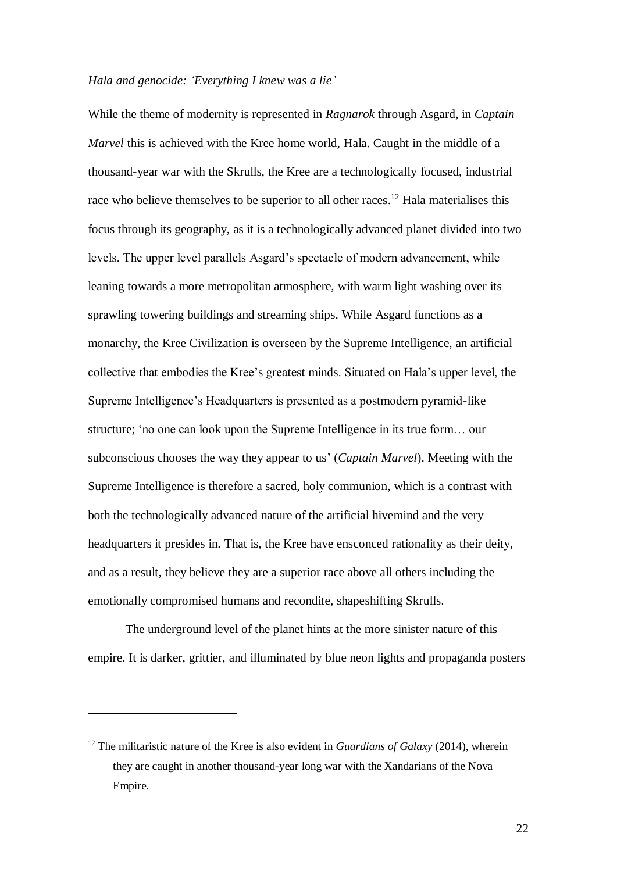## *Hala and genocide: 'Everything I knew was a lie'*

While the theme of modernity is represented in *Ragnarok* through Asgard, in *Captain Marvel* this is achieved with the Kree home world, Hala. Caught in the middle of a thousand-year war with the Skrulls, the Kree are a technologically focused, industrial race who believe themselves to be superior to all other races.<sup>12</sup> Hala materialises this focus through its geography, as it is a technologically advanced planet divided into two levels. The upper level parallels Asgard's spectacle of modern advancement, while leaning towards a more metropolitan atmosphere, with warm light washing over its sprawling towering buildings and streaming ships. While Asgard functions as a monarchy, the Kree Civilization is overseen by the Supreme Intelligence, an artificial collective that embodies the Kree's greatest minds. Situated on Hala's upper level, the Supreme Intelligence's Headquarters is presented as a postmodern pyramid-like structure; 'no one can look upon the Supreme Intelligence in its true form… our subconscious chooses the way they appear to us' (*Captain Marvel*). Meeting with the Supreme Intelligence is therefore a sacred, holy communion, which is a contrast with both the technologically advanced nature of the artificial hivemind and the very headquarters it presides in. That is, the Kree have ensconced rationality as their deity, and as a result, they believe they are a superior race above all others including the emotionally compromised humans and recondite, shapeshifting Skrulls.

The underground level of the planet hints at the more sinister nature of this empire. It is darker, grittier, and illuminated by blue neon lights and propaganda posters

<sup>12</sup> The militaristic nature of the Kree is also evident in *Guardians of Galaxy* (2014), wherein they are caught in another thousand-year long war with the Xandarians of the Nova Empire.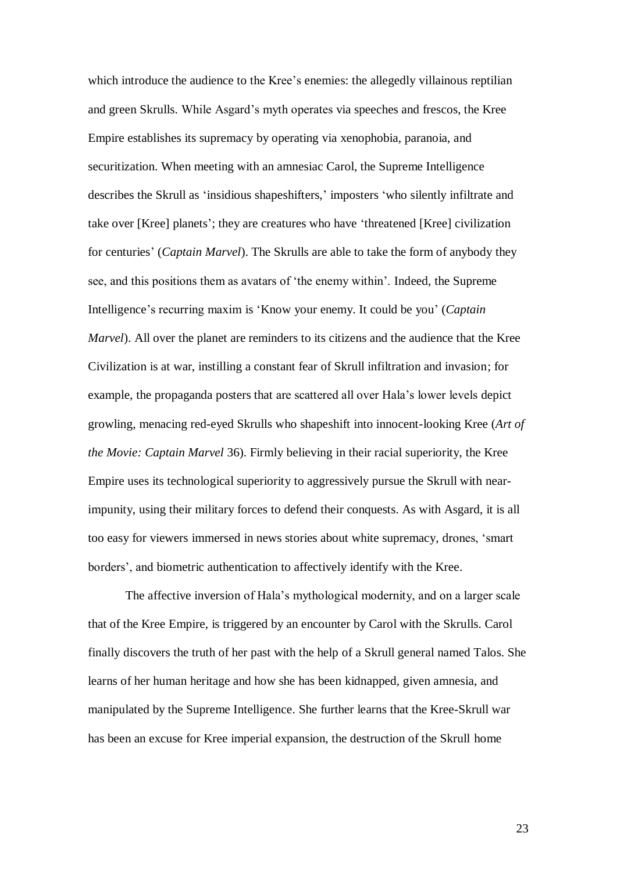which introduce the audience to the Kree's enemies: the allegedly villainous reptilian and green Skrulls. While Asgard's myth operates via speeches and frescos, the Kree Empire establishes its supremacy by operating via xenophobia, paranoia, and securitization. When meeting with an amnesiac Carol, the Supreme Intelligence describes the Skrull as 'insidious shapeshifters,' imposters 'who silently infiltrate and take over [Kree] planets'; they are creatures who have 'threatened [Kree] civilization for centuries' (*Captain Marvel*). The Skrulls are able to take the form of anybody they see, and this positions them as avatars of 'the enemy within'. Indeed, the Supreme Intelligence's recurring maxim is 'Know your enemy. It could be you' (*Captain Marvel*). All over the planet are reminders to its citizens and the audience that the Kree Civilization is at war, instilling a constant fear of Skrull infiltration and invasion; for example, the propaganda posters that are scattered all over Hala's lower levels depict growling, menacing red-eyed Skrulls who shapeshift into innocent-looking Kree (*Art of the Movie: Captain Marvel* 36). Firmly believing in their racial superiority, the Kree Empire uses its technological superiority to aggressively pursue the Skrull with nearimpunity, using their military forces to defend their conquests. As with Asgard, it is all too easy for viewers immersed in news stories about white supremacy, drones, 'smart borders', and biometric authentication to affectively identify with the Kree.

The affective inversion of Hala's mythological modernity, and on a larger scale that of the Kree Empire, is triggered by an encounter by Carol with the Skrulls. Carol finally discovers the truth of her past with the help of a Skrull general named Talos. She learns of her human heritage and how she has been kidnapped, given amnesia, and manipulated by the Supreme Intelligence. She further learns that the Kree-Skrull war has been an excuse for Kree imperial expansion, the destruction of the Skrull home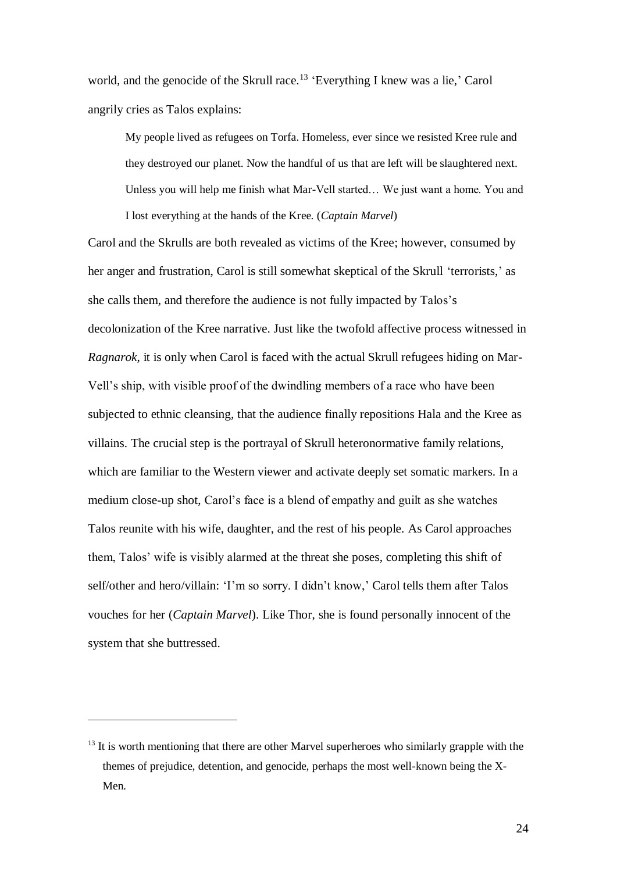world, and the genocide of the Skrull race.<sup>13</sup> 'Everything I knew was a lie,' Carol angrily cries as Talos explains:

My people lived as refugees on Torfa. Homeless, ever since we resisted Kree rule and they destroyed our planet. Now the handful of us that are left will be slaughtered next. Unless you will help me finish what Mar-Vell started… We just want a home. You and I lost everything at the hands of the Kree. (*Captain Marvel*)

Carol and the Skrulls are both revealed as victims of the Kree; however, consumed by her anger and frustration, Carol is still somewhat skeptical of the Skrull 'terrorists,' as she calls them, and therefore the audience is not fully impacted by Talos's decolonization of the Kree narrative. Just like the twofold affective process witnessed in *Ragnarok*, it is only when Carol is faced with the actual Skrull refugees hiding on Mar-Vell's ship, with visible proof of the dwindling members of a race who have been subjected to ethnic cleansing, that the audience finally repositions Hala and the Kree as villains. The crucial step is the portrayal of Skrull heteronormative family relations, which are familiar to the Western viewer and activate deeply set somatic markers. In a medium close-up shot, Carol's face is a blend of empathy and guilt as she watches Talos reunite with his wife, daughter, and the rest of his people. As Carol approaches them, Talos' wife is visibly alarmed at the threat she poses, completing this shift of self/other and hero/villain: 'I'm so sorry. I didn't know,' Carol tells them after Talos vouches for her (*Captain Marvel*). Like Thor, she is found personally innocent of the system that she buttressed.

 $13$  It is worth mentioning that there are other Marvel superheroes who similarly grapple with the themes of prejudice, detention, and genocide, perhaps the most well-known being the X-Men.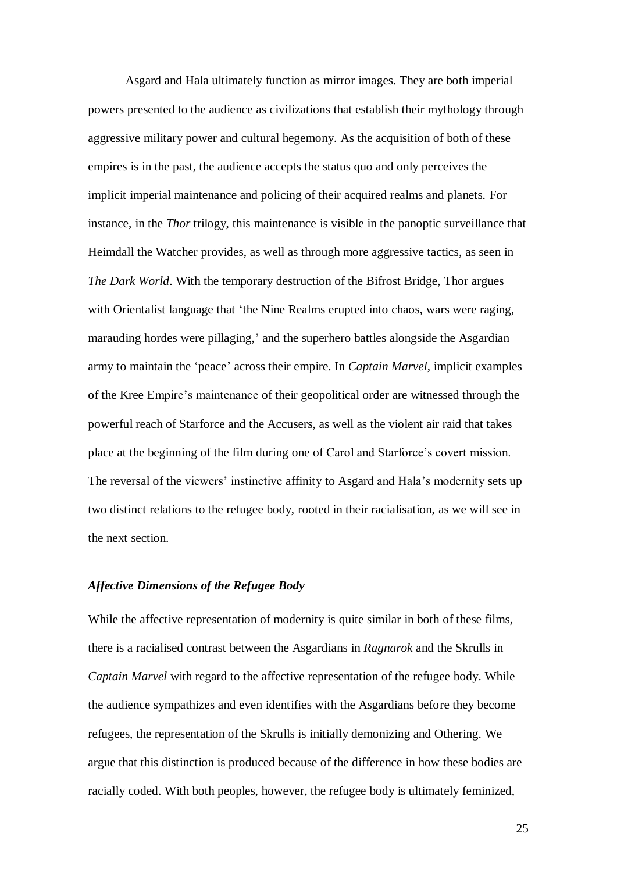Asgard and Hala ultimately function as mirror images. They are both imperial powers presented to the audience as civilizations that establish their mythology through aggressive military power and cultural hegemony. As the acquisition of both of these empires is in the past, the audience accepts the status quo and only perceives the implicit imperial maintenance and policing of their acquired realms and planets. For instance, in the *Thor* trilogy, this maintenance is visible in the panoptic surveillance that Heimdall the Watcher provides, as well as through more aggressive tactics, as seen in *The Dark World*. With the temporary destruction of the Bifrost Bridge, Thor argues with Orientalist language that 'the Nine Realms erupted into chaos, wars were raging, marauding hordes were pillaging,' and the superhero battles alongside the Asgardian army to maintain the 'peace' across their empire. In *Captain Marvel*, implicit examples of the Kree Empire's maintenance of their geopolitical order are witnessed through the powerful reach of Starforce and the Accusers, as well as the violent air raid that takes place at the beginning of the film during one of Carol and Starforce's covert mission. The reversal of the viewers' instinctive affinity to Asgard and Hala's modernity sets up two distinct relations to the refugee body, rooted in their racialisation, as we will see in the next section.

# *Affective Dimensions of the Refugee Body*

While the affective representation of modernity is quite similar in both of these films, there is a racialised contrast between the Asgardians in *Ragnarok* and the Skrulls in *Captain Marvel* with regard to the affective representation of the refugee body. While the audience sympathizes and even identifies with the Asgardians before they become refugees, the representation of the Skrulls is initially demonizing and Othering. We argue that this distinction is produced because of the difference in how these bodies are racially coded. With both peoples, however, the refugee body is ultimately feminized,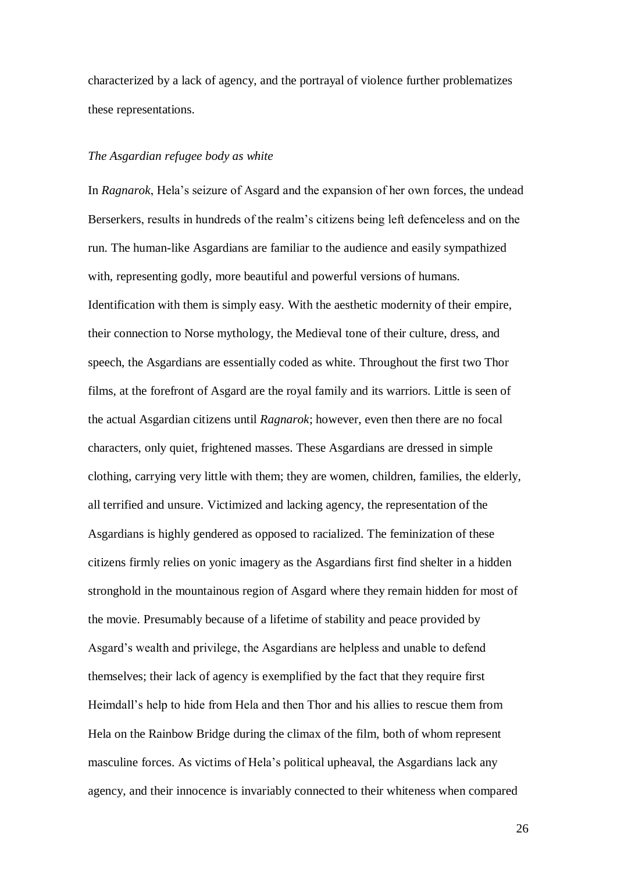characterized by a lack of agency, and the portrayal of violence further problematizes these representations.

### *The Asgardian refugee body as white*

In *Ragnarok*, Hela's seizure of Asgard and the expansion of her own forces, the undead Berserkers, results in hundreds of the realm's citizens being left defenceless and on the run. The human-like Asgardians are familiar to the audience and easily sympathized with, representing godly, more beautiful and powerful versions of humans. Identification with them is simply easy. With the aesthetic modernity of their empire, their connection to Norse mythology, the Medieval tone of their culture, dress, and speech, the Asgardians are essentially coded as white. Throughout the first two Thor films, at the forefront of Asgard are the royal family and its warriors. Little is seen of the actual Asgardian citizens until *Ragnarok*; however, even then there are no focal characters, only quiet, frightened masses. These Asgardians are dressed in simple clothing, carrying very little with them; they are women, children, families, the elderly, all terrified and unsure. Victimized and lacking agency, the representation of the Asgardians is highly gendered as opposed to racialized. The feminization of these citizens firmly relies on yonic imagery as the Asgardians first find shelter in a hidden stronghold in the mountainous region of Asgard where they remain hidden for most of the movie. Presumably because of a lifetime of stability and peace provided by Asgard's wealth and privilege, the Asgardians are helpless and unable to defend themselves; their lack of agency is exemplified by the fact that they require first Heimdall's help to hide from Hela and then Thor and his allies to rescue them from Hela on the Rainbow Bridge during the climax of the film, both of whom represent masculine forces. As victims of Hela's political upheaval, the Asgardians lack any agency, and their innocence is invariably connected to their whiteness when compared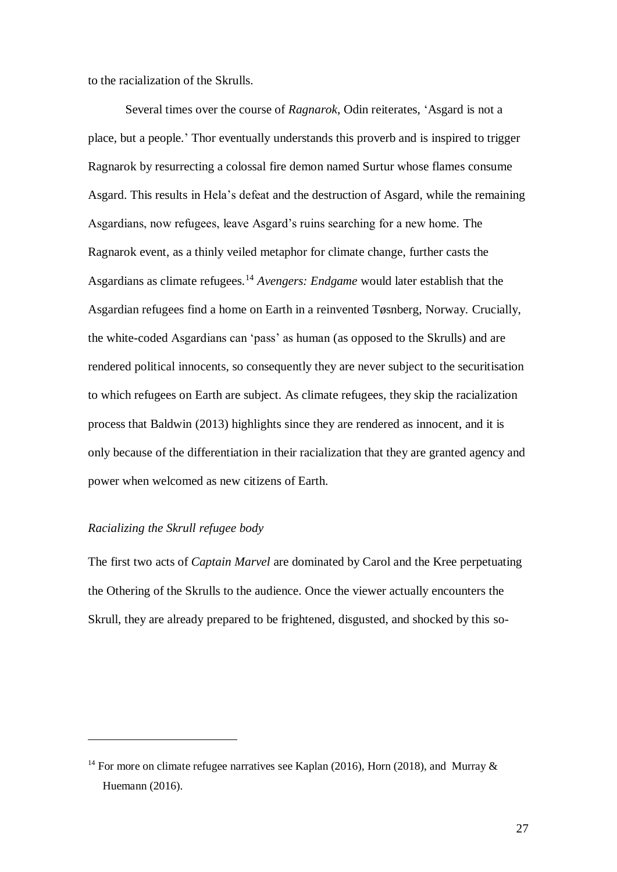to the racialization of the Skrulls.

Several times over the course of *Ragnarok*, Odin reiterates, 'Asgard is not a place, but a people.' Thor eventually understands this proverb and is inspired to trigger Ragnarok by resurrecting a colossal fire demon named Surtur whose flames consume Asgard. This results in Hela's defeat and the destruction of Asgard, while the remaining Asgardians, now refugees, leave Asgard's ruins searching for a new home. The Ragnarok event, as a thinly veiled metaphor for climate change, further casts the Asgardians as climate refugees.<sup>14</sup> *Avengers: Endgame* would later establish that the Asgardian refugees find a home on Earth in a reinvented Tøsnberg, Norway. Crucially, the white-coded Asgardians can 'pass' as human (as opposed to the Skrulls) and are rendered political innocents, so consequently they are never subject to the securitisation to which refugees on Earth are subject. As climate refugees, they skip the racialization process that Baldwin (2013) highlights since they are rendered as innocent, and it is only because of the differentiation in their racialization that they are granted agency and power when welcomed as new citizens of Earth.

# *Racializing the Skrull refugee body*

 $\overline{a}$ 

The first two acts of *Captain Marvel* are dominated by Carol and the Kree perpetuating the Othering of the Skrulls to the audience. Once the viewer actually encounters the Skrull, they are already prepared to be frightened, disgusted, and shocked by this so-

<sup>&</sup>lt;sup>14</sup> For more on climate refugee narratives see Kaplan (2016), Horn (2018), and Murray  $\&$ Huemann (2016).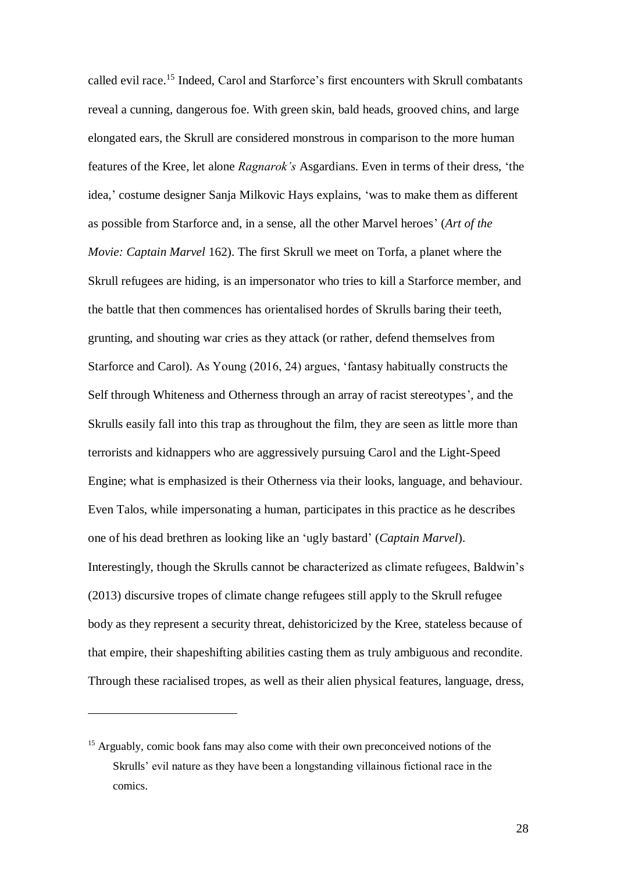called evil race. <sup>15</sup> Indeed, Carol and Starforce's first encounters with Skrull combatants reveal a cunning, dangerous foe. With green skin, bald heads, grooved chins, and large elongated ears, the Skrull are considered monstrous in comparison to the more human features of the Kree, let alone *Ragnarok's* Asgardians. Even in terms of their dress, 'the idea,' costume designer Sanja Milkovic Hays explains, 'was to make them as different as possible from Starforce and, in a sense, all the other Marvel heroes' (*Art of the Movie: Captain Marvel* 162). The first Skrull we meet on Torfa, a planet where the Skrull refugees are hiding, is an impersonator who tries to kill a Starforce member, and the battle that then commences has orientalised hordes of Skrulls baring their teeth, grunting, and shouting war cries as they attack (or rather, defend themselves from Starforce and Carol). As Young (2016, 24) argues, 'fantasy habitually constructs the Self through Whiteness and Otherness through an array of racist stereotypes', and the Skrulls easily fall into this trap as throughout the film, they are seen as little more than terrorists and kidnappers who are aggressively pursuing Carol and the Light-Speed Engine; what is emphasized is their Otherness via their looks, language, and behaviour. Even Talos, while impersonating a human, participates in this practice as he describes one of his dead brethren as looking like an 'ugly bastard' (*Captain Marvel*). Interestingly, though the Skrulls cannot be characterized as climate refugees, Baldwin's (2013) discursive tropes of climate change refugees still apply to the Skrull refugee body as they represent a security threat, dehistoricized by the Kree, stateless because of that empire, their shapeshifting abilities casting them as truly ambiguous and recondite. Through these racialised tropes, as well as their alien physical features, language, dress,

 $15$  Arguably, comic book fans may also come with their own preconceived notions of the Skrulls' evil nature as they have been a longstanding villainous fictional race in the comics.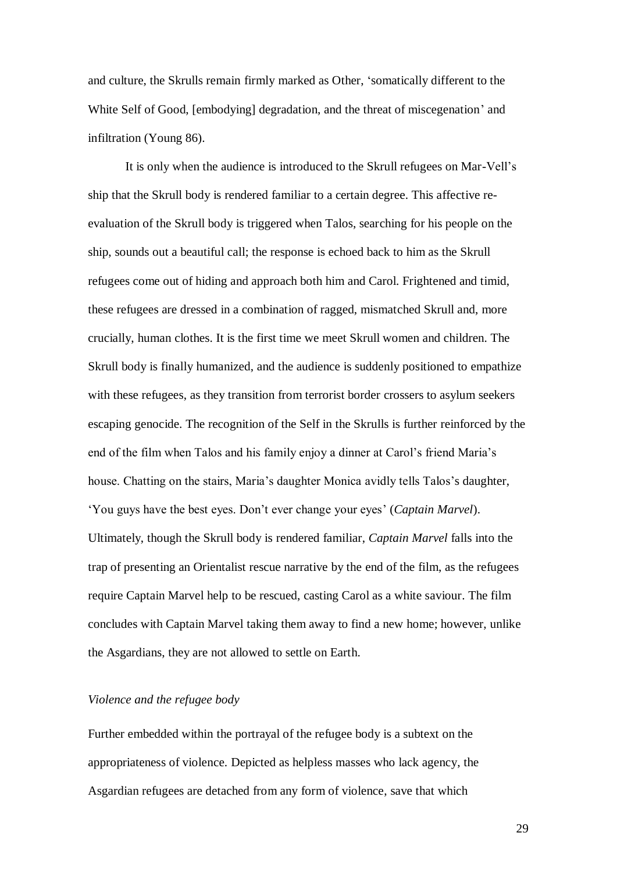and culture, the Skrulls remain firmly marked as Other, 'somatically different to the White Self of Good, [embodying] degradation, and the threat of miscegenation' and infiltration (Young 86).

It is only when the audience is introduced to the Skrull refugees on Mar-Vell's ship that the Skrull body is rendered familiar to a certain degree. This affective reevaluation of the Skrull body is triggered when Talos, searching for his people on the ship, sounds out a beautiful call; the response is echoed back to him as the Skrull refugees come out of hiding and approach both him and Carol. Frightened and timid, these refugees are dressed in a combination of ragged, mismatched Skrull and, more crucially, human clothes. It is the first time we meet Skrull women and children. The Skrull body is finally humanized, and the audience is suddenly positioned to empathize with these refugees, as they transition from terrorist border crossers to asylum seekers escaping genocide. The recognition of the Self in the Skrulls is further reinforced by the end of the film when Talos and his family enjoy a dinner at Carol's friend Maria's house. Chatting on the stairs, Maria's daughter Monica avidly tells Talos's daughter, 'You guys have the best eyes. Don't ever change your eyes' (*Captain Marvel*). Ultimately, though the Skrull body is rendered familiar, *Captain Marvel* falls into the trap of presenting an Orientalist rescue narrative by the end of the film, as the refugees require Captain Marvel help to be rescued, casting Carol as a white saviour. The film concludes with Captain Marvel taking them away to find a new home; however, unlike the Asgardians, they are not allowed to settle on Earth.

# *Violence and the refugee body*

Further embedded within the portrayal of the refugee body is a subtext on the appropriateness of violence. Depicted as helpless masses who lack agency, the Asgardian refugees are detached from any form of violence, save that which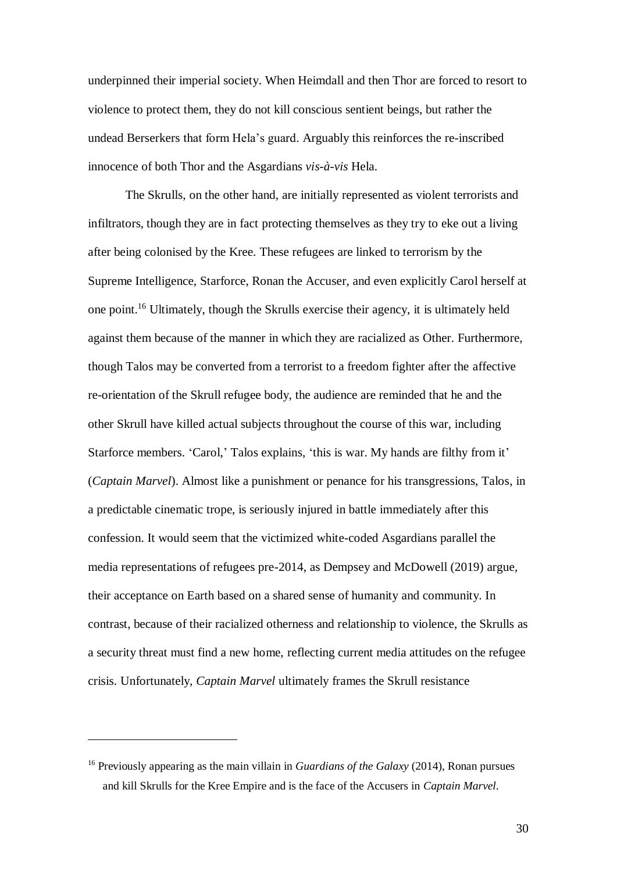underpinned their imperial society. When Heimdall and then Thor are forced to resort to violence to protect them, they do not kill conscious sentient beings, but rather the undead Berserkers that form Hela's guard. Arguably this reinforces the re-inscribed innocence of both Thor and the Asgardians *vis-à-vis* Hela.

The Skrulls, on the other hand, are initially represented as violent terrorists and infiltrators, though they are in fact protecting themselves as they try to eke out a living after being colonised by the Kree. These refugees are linked to terrorism by the Supreme Intelligence, Starforce, Ronan the Accuser, and even explicitly Carol herself at one point.<sup>16</sup> Ultimately, though the Skrulls exercise their agency, it is ultimately held against them because of the manner in which they are racialized as Other. Furthermore, though Talos may be converted from a terrorist to a freedom fighter after the affective re-orientation of the Skrull refugee body, the audience are reminded that he and the other Skrull have killed actual subjects throughout the course of this war, including Starforce members. 'Carol,' Talos explains, 'this is war. My hands are filthy from it' (*Captain Marvel*). Almost like a punishment or penance for his transgressions, Talos, in a predictable cinematic trope, is seriously injured in battle immediately after this confession. It would seem that the victimized white-coded Asgardians parallel the media representations of refugees pre-2014, as Dempsey and McDowell (2019) argue, their acceptance on Earth based on a shared sense of humanity and community. In contrast, because of their racialized otherness and relationship to violence, the Skrulls as a security threat must find a new home, reflecting current media attitudes on the refugee crisis. Unfortunately, *Captain Marvel* ultimately frames the Skrull resistance

<sup>&</sup>lt;sup>16</sup> Previously appearing as the main villain in *Guardians of the Galaxy* (2014), Ronan pursues and kill Skrulls for the Kree Empire and is the face of the Accusers in *Captain Marvel*.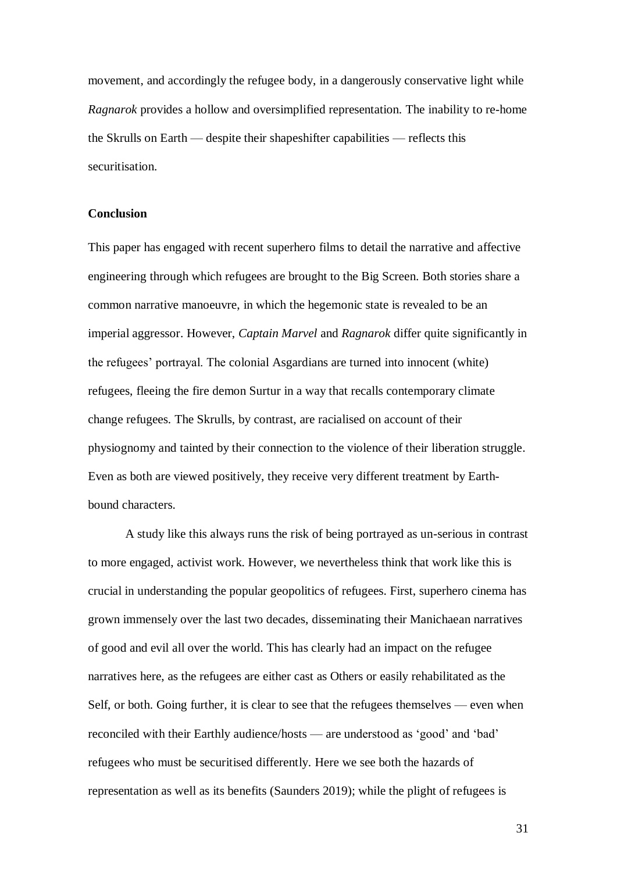movement, and accordingly the refugee body, in a dangerously conservative light while *Ragnarok* provides a hollow and oversimplified representation. The inability to re-home the Skrulls on Earth — despite their shapeshifter capabilities — reflects this securitisation.

## **Conclusion**

This paper has engaged with recent superhero films to detail the narrative and affective engineering through which refugees are brought to the Big Screen. Both stories share a common narrative manoeuvre, in which the hegemonic state is revealed to be an imperial aggressor. However, *Captain Marvel* and *Ragnarok* differ quite significantly in the refugees' portrayal. The colonial Asgardians are turned into innocent (white) refugees, fleeing the fire demon Surtur in a way that recalls contemporary climate change refugees. The Skrulls, by contrast, are racialised on account of their physiognomy and tainted by their connection to the violence of their liberation struggle. Even as both are viewed positively, they receive very different treatment by Earthbound characters.

A study like this always runs the risk of being portrayed as un-serious in contrast to more engaged, activist work. However, we nevertheless think that work like this is crucial in understanding the popular geopolitics of refugees. First, superhero cinema has grown immensely over the last two decades, disseminating their Manichaean narratives of good and evil all over the world. This has clearly had an impact on the refugee narratives here, as the refugees are either cast as Others or easily rehabilitated as the Self, or both. Going further, it is clear to see that the refugees themselves — even when reconciled with their Earthly audience/hosts — are understood as 'good' and 'bad' refugees who must be securitised differently. Here we see both the hazards of representation as well as its benefits (Saunders 2019); while the plight of refugees is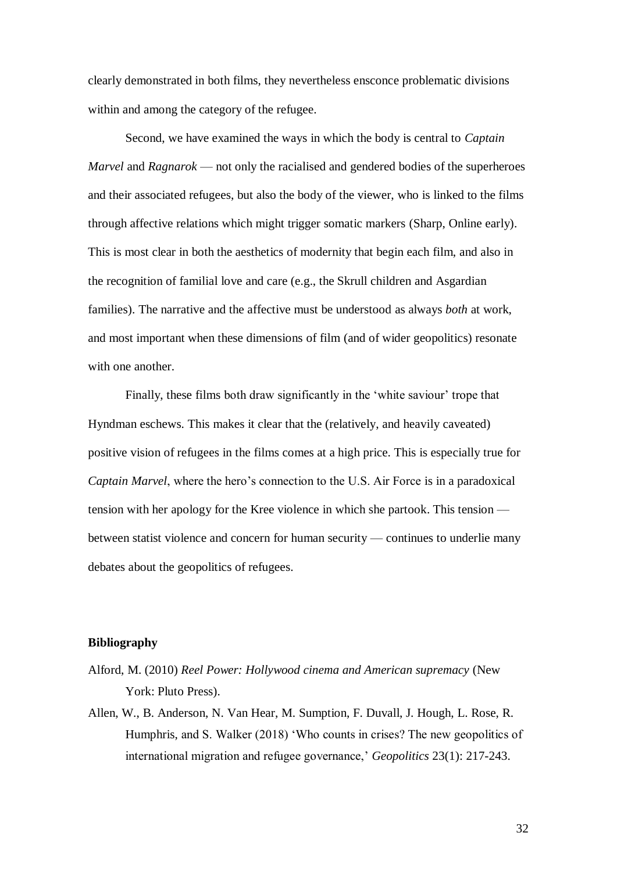clearly demonstrated in both films, they nevertheless ensconce problematic divisions within and among the category of the refugee.

Second, we have examined the ways in which the body is central to *Captain Marvel* and *Ragnarok* — not only the racialised and gendered bodies of the superheroes and their associated refugees, but also the body of the viewer, who is linked to the films through affective relations which might trigger somatic markers (Sharp, Online early). This is most clear in both the aesthetics of modernity that begin each film, and also in the recognition of familial love and care (e.g., the Skrull children and Asgardian families). The narrative and the affective must be understood as always *both* at work, and most important when these dimensions of film (and of wider geopolitics) resonate with one another.

Finally, these films both draw significantly in the 'white saviour' trope that Hyndman eschews. This makes it clear that the (relatively, and heavily caveated) positive vision of refugees in the films comes at a high price. This is especially true for *Captain Marvel*, where the hero's connection to the U.S. Air Force is in a paradoxical tension with her apology for the Kree violence in which she partook. This tension between statist violence and concern for human security — continues to underlie many debates about the geopolitics of refugees.

### **Bibliography**

- Alford, M. (2010) *Reel Power: Hollywood cinema and American supremacy* (New York: Pluto Press).
- Allen, W., B. Anderson, N. Van Hear, M. Sumption, F. Duvall, J. Hough, L. Rose, R. Humphris, and S. Walker (2018) 'Who counts in crises? The new geopolitics of international migration and refugee governance,' *Geopolitics* 23(1): 217-243.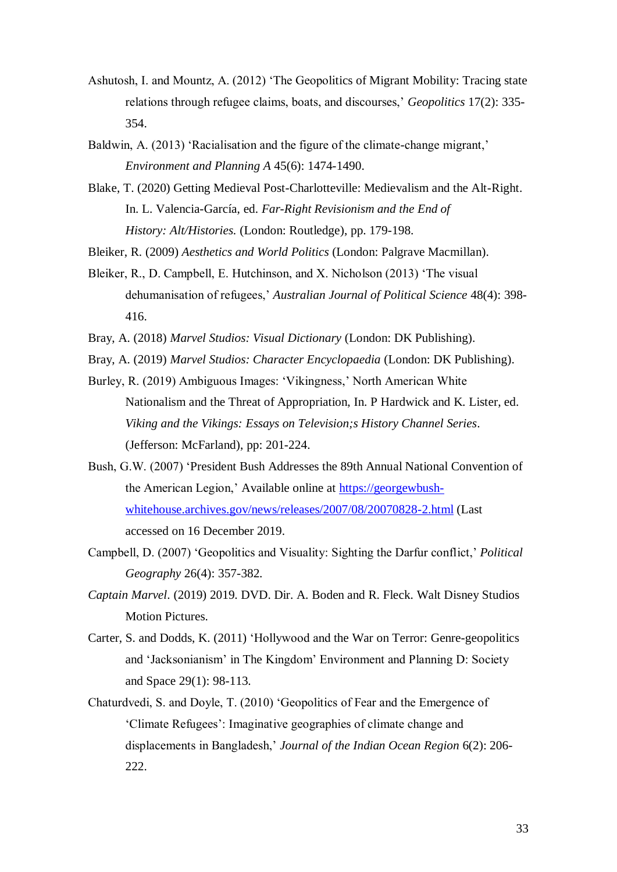- Ashutosh, I. and Mountz, A. (2012) 'The Geopolitics of Migrant Mobility: Tracing state relations through refugee claims, boats, and discourses,' *Geopolitics* 17(2): 335- 354.
- Baldwin, A. (2013) 'Racialisation and the figure of the climate-change migrant,' *Environment and Planning A* 45(6): 1474-1490.
- Blake, T. (2020) Getting Medieval Post-Charlotteville: Medievalism and the Alt-Right. In. L. Valencia-García, ed. *Far-Right Revisionism and the End of History: Alt/Histories.* (London: Routledge), pp. 179-198.
- Bleiker, R. (2009) *Aesthetics and World Politics* (London: Palgrave Macmillan).
- Bleiker, R., D. Campbell, E. Hutchinson, and X. Nicholson (2013) 'The visual dehumanisation of refugees,' *Australian Journal of Political Science* 48(4): 398- 416.
- Bray, A. (2018) *Marvel Studios: Visual Dictionary* (London: DK Publishing).
- Bray, A. (2019) *Marvel Studios: Character Encyclopaedia* (London: DK Publishing).
- Burley, R. (2019) Ambiguous Images: 'Vikingness,' North American White Nationalism and the Threat of Appropriation, In. P Hardwick and K. Lister, ed. *Viking and the Vikings: Essays on Television;s History Channel Series*. (Jefferson: McFarland), pp: 201-224.
- Bush, G.W. (2007) 'President Bush Addresses the 89th Annual National Convention of the American Legion,' Available online at [https://georgewbush](https://georgewbush-whitehouse.archives.gov/news/releases/2007/08/20070828-2.html)[whitehouse.archives.gov/news/releases/2007/08/20070828-2.html](https://georgewbush-whitehouse.archives.gov/news/releases/2007/08/20070828-2.html) (Last accessed on 16 December 2019.
- Campbell, D. (2007) 'Geopolitics and Visuality: Sighting the Darfur conflict,' *Political Geography* 26(4): 357-382.
- *Captain Marvel*. (2019) 2019. DVD. Dir. A. Boden and R. Fleck. Walt Disney Studios Motion Pictures.
- Carter, S. and Dodds, K. (2011) 'Hollywood and the War on Terror: Genre-geopolitics and 'Jacksonianism' in The Kingdom' Environment and Planning D: Society and Space 29(1): 98-113.
- Chaturdvedi, S. and Doyle, T. (2010) 'Geopolitics of Fear and the Emergence of 'Climate Refugees': Imaginative geographies of climate change and displacements in Bangladesh,' *Journal of the Indian Ocean Region* 6(2): 206- 222.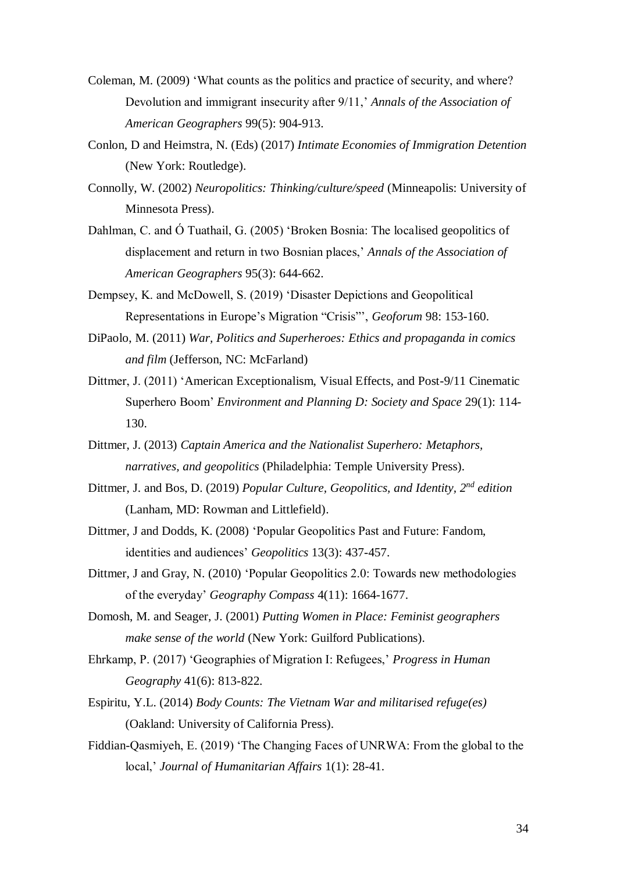- Coleman, M. (2009) 'What counts as the politics and practice of security, and where? Devolution and immigrant insecurity after 9/11,' *Annals of the Association of American Geographers* 99(5): 904-913.
- Conlon, D and Heimstra, N. (Eds) (2017) *Intimate Economies of Immigration Detention* (New York: Routledge).
- Connolly, W. (2002) *Neuropolitics: Thinking/culture/speed* (Minneapolis: University of Minnesota Press).
- Dahlman, C. and Ó Tuathail, G. (2005) 'Broken Bosnia: The localised geopolitics of displacement and return in two Bosnian places,' *Annals of the Association of American Geographers* 95(3): 644-662.
- Dempsey, K. and McDowell, S. (2019) 'Disaster Depictions and Geopolitical Representations in Europe's Migration "Crisis"', *Geoforum* 98: 153-160.
- DiPaolo, M. (2011) *War, Politics and Superheroes: Ethics and propaganda in comics and film* (Jefferson, NC: McFarland)
- Dittmer, J. (2011) 'American Exceptionalism, Visual Effects, and Post-9/11 Cinematic Superhero Boom' *Environment and Planning D: Society and Space* 29(1): 114- 130.
- Dittmer, J. (2013) *Captain America and the Nationalist Superhero: Metaphors, narratives, and geopolitics* (Philadelphia: Temple University Press).
- Dittmer, J. and Bos, D. (2019) *Popular Culture, Geopolitics, and Identity, 2nd edition* (Lanham, MD: Rowman and Littlefield).
- Dittmer, J and Dodds, K. (2008) 'Popular Geopolitics Past and Future: Fandom, identities and audiences' *Geopolitics* 13(3): 437-457.
- Dittmer, J and Gray, N. (2010) 'Popular Geopolitics 2.0: Towards new methodologies of the everyday' *Geography Compass* 4(11): 1664-1677.
- Domosh, M. and Seager, J. (2001) *Putting Women in Place: Feminist geographers make sense of the world* (New York: Guilford Publications).
- Ehrkamp, P. (2017) 'Geographies of Migration I: Refugees,' *Progress in Human Geography* 41(6): 813-822.
- Espiritu, Y.L. (2014) *Body Counts: The Vietnam War and militarised refuge(es)* (Oakland: University of California Press).
- Fiddian-Qasmiyeh, E. (2019) 'The Changing Faces of UNRWA: From the global to the local,' *Journal of Humanitarian Affairs* 1(1): 28-41.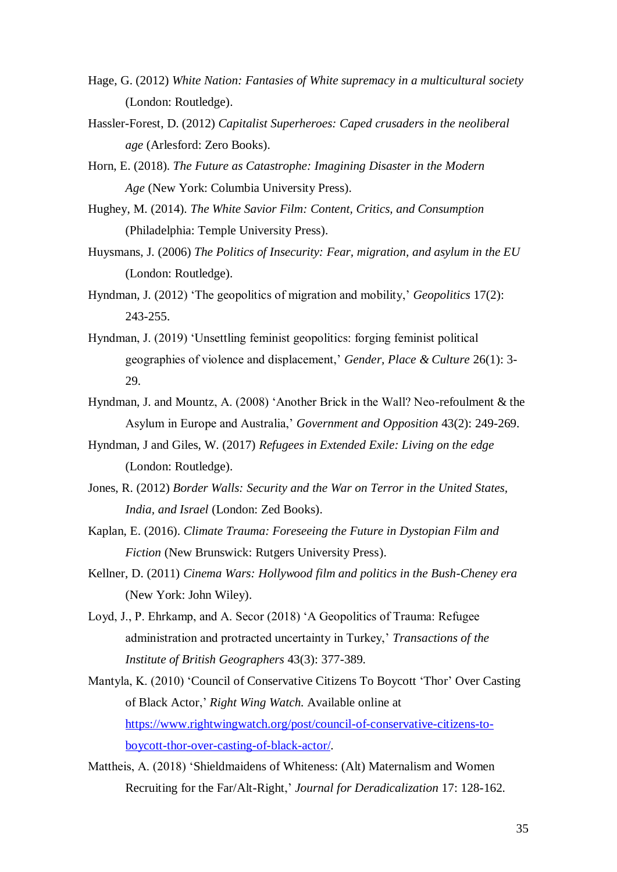- Hage, G. (2012) *White Nation: Fantasies of White supremacy in a multicultural society* (London: Routledge).
- Hassler-Forest, D. (2012) *Capitalist Superheroes: Caped crusaders in the neoliberal age* (Arlesford: Zero Books).
- Horn, E. (2018). *The Future as Catastrophe: Imagining Disaster in the Modern Age* (New York: Columbia University Press).
- Hughey, M. (2014). *The White Savior Film: Content, Critics, and Consumption* (Philadelphia: Temple University Press).
- Huysmans, J. (2006) *The Politics of Insecurity: Fear, migration, and asylum in the EU* (London: Routledge).
- Hyndman, J. (2012) 'The geopolitics of migration and mobility,' *Geopolitics* 17(2): 243-255.
- Hyndman, J. (2019) 'Unsettling feminist geopolitics: forging feminist political geographies of violence and displacement,' *Gender, Place & Culture* 26(1): 3- 29.
- Hyndman, J. and Mountz, A. (2008) 'Another Brick in the Wall? Neo-refoulment & the Asylum in Europe and Australia,' *Government and Opposition* 43(2): 249-269.
- Hyndman, J and Giles, W. (2017) *Refugees in Extended Exile: Living on the edge* (London: Routledge).
- Jones, R. (2012) *Border Walls: Security and the War on Terror in the United States, India, and Israel* (London: Zed Books).
- Kaplan, E. (2016). *Climate Trauma: Foreseeing the Future in Dystopian Film and Fiction* (New Brunswick: Rutgers University Press).
- Kellner, D. (2011) *Cinema Wars: Hollywood film and politics in the Bush-Cheney era* (New York: John Wiley).
- Loyd, J., P. Ehrkamp, and A. Secor (2018) 'A Geopolitics of Trauma: Refugee administration and protracted uncertainty in Turkey,' *Transactions of the Institute of British Geographers* 43(3): 377-389.
- Mantyla, K. (2010) 'Council of Conservative Citizens To Boycott 'Thor' Over Casting of Black Actor,' *Right Wing Watch.* Available online at [https://www.rightwingwatch.org/post/council-of-conservative-citizens-to](https://www.rightwingwatch.org/post/council-of-conservative-citizens-to-boycott-thor-over-casting-of-black-actor/)[boycott-thor-over-casting-of-black-actor/.](https://www.rightwingwatch.org/post/council-of-conservative-citizens-to-boycott-thor-over-casting-of-black-actor/)
- Mattheis, A. (2018) 'Shieldmaidens of Whiteness: (Alt) Maternalism and Women Recruiting for the Far/Alt-Right,' *Journal for Deradicalization* 17: 128-162.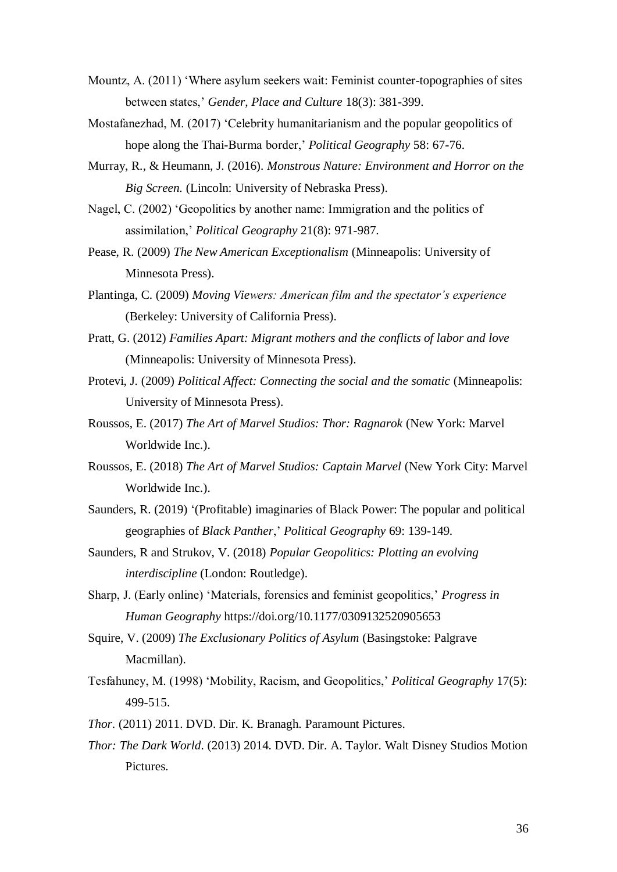- Mountz, A. (2011) 'Where asylum seekers wait: Feminist counter-topographies of sites between states,' *Gender, Place and Culture* 18(3): 381-399.
- Mostafanezhad, M. (2017) 'Celebrity humanitarianism and the popular geopolitics of hope along the Thai-Burma border,' *Political Geography* 58: 67-76.
- Murray, R., & Heumann, J. (2016). *Monstrous Nature: Environment and Horror on the Big Screen.* (Lincoln: University of Nebraska Press).
- Nagel, C. (2002) 'Geopolitics by another name: Immigration and the politics of assimilation,' *Political Geography* 21(8): 971-987.
- Pease, R. (2009) *The New American Exceptionalism* (Minneapolis: University of Minnesota Press).
- Plantinga, C. (2009) *Moving Viewers: American film and the spectator's experience* (Berkeley: University of California Press).
- Pratt, G. (2012) *Families Apart: Migrant mothers and the conflicts of labor and love*  (Minneapolis: University of Minnesota Press).
- Protevi, J. (2009) *Political Affect: Connecting the social and the somatic* (Minneapolis: University of Minnesota Press).
- Roussos, E. (2017) *The Art of Marvel Studios: Thor: Ragnarok* (New York: Marvel Worldwide Inc.).
- Roussos, E. (2018) *The Art of Marvel Studios: Captain Marvel* (New York City: Marvel Worldwide Inc.).
- Saunders, R. (2019) '(Profitable) imaginaries of Black Power: The popular and political geographies of *Black Panther*,' *Political Geography* 69: 139-149.
- Saunders, R and Strukov, V. (2018) *Popular Geopolitics: Plotting an evolving interdiscipline* (London: Routledge).
- Sharp, J. (Early online) 'Materials, forensics and feminist geopolitics,' *Progress in Human Geography* https://doi.org/10.1177/0309132520905653
- Squire, V. (2009) *The Exclusionary Politics of Asylum* (Basingstoke: Palgrave Macmillan).
- Tesfahuney, M. (1998) 'Mobility, Racism, and Geopolitics,' *Political Geography* 17(5): 499-515.
- *Thor*. (2011) 2011. DVD. Dir. K. Branagh. Paramount Pictures.
- *Thor: The Dark World*. (2013) 2014. DVD. Dir. A. Taylor. Walt Disney Studios Motion Pictures.